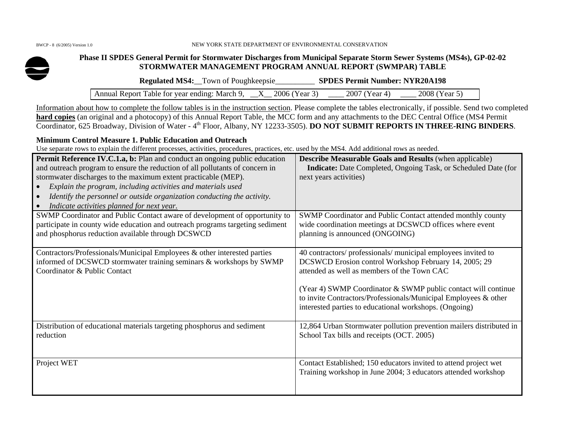#### BWCP - 8 (6/2005) Version 1.0 NEW YORK STATE DEPARTMENT OF ENVIRONMENTAL CONSERVATION



## **Phase II SPDES General Permit for Stormwater Discharges from Municipal Separate Storm Sewer Systems (MS4s), GP-02-02 STORMWATER MANAGEMENT PROGRAM ANNUAL REPORT (SWMPAR) TABLE**

**Regulated MS4:**\_\_Town of Poughkeepsie\_\_\_\_\_\_\_\_\_\_ **SPDES Permit Number: NYR20A198** 

Annual Report Table for year ending: March 9,  $X_2006$  (Year 3)  $Z_2007$  (Year 4)  $Z_2008$  (Year 5)

Information about how to complete the follow tables is in the instruction section. Please complete the tables electronically, if possible. Send two completed **hard copies** (an original and a photocopy) of this Annual Report Table, the MCC form and any attachments to the DEC Central Office (MS4 Permit Coordinator, 625 Broadway, Division of Water - 4th Floor, Albany, NY 12233-3505). **DO NOT SUBMIT REPORTS IN THREE-RING BINDERS**.

## **Minimum Control Measure 1. Public Education and Outreach**

Use separate rows to explain the different processes, activities, procedures, practices, etc. used by the MS4. Add additional rows as needed.

| <b>Permit Reference IV.C.1.a, b:</b> Plan and conduct an ongoing public education<br>and outreach program to ensure the reduction of all pollutants of concern in<br>stormwater discharges to the maximum extent practicable (MEP).<br>Explain the program, including activities and materials used<br>Identify the personnel or outside organization conducting the activity.<br>Indicate activities planned for next year. | <b>Describe Measurable Goals and Results (when applicable)</b><br>Indicate: Date Completed, Ongoing Task, or Scheduled Date (for<br>next years activities)                                                                                                                                                                                                          |
|------------------------------------------------------------------------------------------------------------------------------------------------------------------------------------------------------------------------------------------------------------------------------------------------------------------------------------------------------------------------------------------------------------------------------|---------------------------------------------------------------------------------------------------------------------------------------------------------------------------------------------------------------------------------------------------------------------------------------------------------------------------------------------------------------------|
| SWMP Coordinator and Public Contact aware of development of opportunity to<br>participate in county wide education and outreach programs targeting sediment<br>and phosphorus reduction available through DCSWCD                                                                                                                                                                                                             | SWMP Coordinator and Public Contact attended monthly county<br>wide coordination meetings at DCSWCD offices where event<br>planning is announced (ONGOING)                                                                                                                                                                                                          |
| Contractors/Professionals/Municipal Employees & other interested parties<br>informed of DCSWCD stormwater training seminars & workshops by SWMP<br>Coordinator & Public Contact                                                                                                                                                                                                                                              | 40 contractors/ professionals/ municipal employees invited to<br>DCSWCD Erosion control Workshop February 14, 2005; 29<br>attended as well as members of the Town CAC<br>(Year 4) SWMP Coordinator & SWMP public contact will continue<br>to invite Contractors/Professionals/Municipal Employees & other<br>interested parties to educational workshops. (Ongoing) |
| Distribution of educational materials targeting phosphorus and sediment<br>reduction                                                                                                                                                                                                                                                                                                                                         | 12,864 Urban Stormwater pollution prevention mailers distributed in<br>School Tax bills and receipts (OCT. 2005)                                                                                                                                                                                                                                                    |
| Project WET                                                                                                                                                                                                                                                                                                                                                                                                                  | Contact Established; 150 educators invited to attend project wet<br>Training workshop in June 2004; 3 educators attended workshop                                                                                                                                                                                                                                   |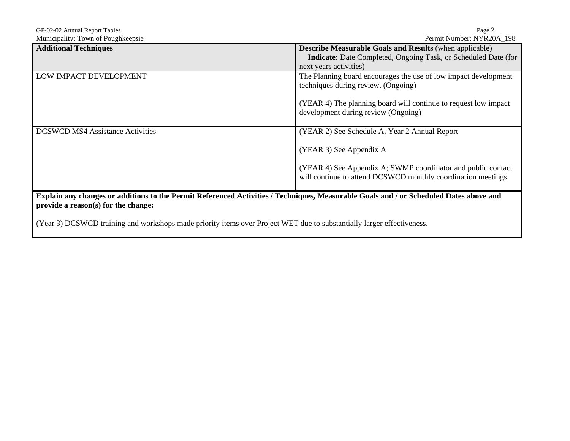| Page 2                                                                                                                                 |  |  |
|----------------------------------------------------------------------------------------------------------------------------------------|--|--|
| Permit Number: NYR20A 198                                                                                                              |  |  |
| <b>Describe Measurable Goals and Results (when applicable)</b>                                                                         |  |  |
| Indicate: Date Completed, Ongoing Task, or Scheduled Date (for                                                                         |  |  |
| next years activities)                                                                                                                 |  |  |
| The Planning board encourages the use of low impact development                                                                        |  |  |
| techniques during review. (Ongoing)                                                                                                    |  |  |
|                                                                                                                                        |  |  |
| (YEAR 4) The planning board will continue to request low impact                                                                        |  |  |
| development during review (Ongoing)                                                                                                    |  |  |
|                                                                                                                                        |  |  |
| (YEAR 2) See Schedule A, Year 2 Annual Report                                                                                          |  |  |
|                                                                                                                                        |  |  |
| (YEAR 3) See Appendix A                                                                                                                |  |  |
|                                                                                                                                        |  |  |
| (YEAR 4) See Appendix A; SWMP coordinator and public contact                                                                           |  |  |
| will continue to attend DCSWCD monthly coordination meetings                                                                           |  |  |
|                                                                                                                                        |  |  |
| Explain any changes or additions to the Permit Referenced Activities / Techniques, Measurable Goals and / or Scheduled Dates above and |  |  |
|                                                                                                                                        |  |  |
|                                                                                                                                        |  |  |

(Year 3) DCSWCD training and workshops made priority items over Project WET due to substantially larger effectiveness.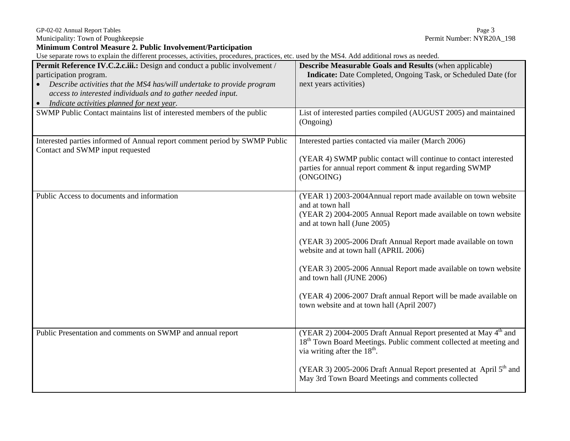Municipality: Town of Poughkeepsie

GP-02-02 Annual Report Tables<br>
Municipality: Town of Poughkeepsie<br>
Permit Number: NYR20A\_198

**Minimum Control Measure 2. Public Involvement/Participation** 

Use separate rows to explain the different processes, activities, procedures, practices, etc. used by the MS4. Add additional rows as needed.

| Permit Reference IV.C.2.c.iii.: Design and conduct a public involvement /<br>participation program.<br>Describe activities that the MS4 has/will undertake to provide program<br>access to interested individuals and to gather needed input.<br>Indicate activities planned for next year. | Describe Measurable Goals and Results (when applicable)<br>Indicate: Date Completed, Ongoing Task, or Scheduled Date (for<br>next years activities)                                                                                                                                                                                                                                                                                                                                                               |
|---------------------------------------------------------------------------------------------------------------------------------------------------------------------------------------------------------------------------------------------------------------------------------------------|-------------------------------------------------------------------------------------------------------------------------------------------------------------------------------------------------------------------------------------------------------------------------------------------------------------------------------------------------------------------------------------------------------------------------------------------------------------------------------------------------------------------|
| SWMP Public Contact maintains list of interested members of the public                                                                                                                                                                                                                      | List of interested parties compiled (AUGUST 2005) and maintained<br>(Ongoing)                                                                                                                                                                                                                                                                                                                                                                                                                                     |
| Interested parties informed of Annual report comment period by SWMP Public<br>Contact and SWMP input requested                                                                                                                                                                              | Interested parties contacted via mailer (March 2006)<br>(YEAR 4) SWMP public contact will continue to contact interested<br>parties for annual report comment & input regarding SWMP<br>(ONGOING)                                                                                                                                                                                                                                                                                                                 |
| Public Access to documents and information                                                                                                                                                                                                                                                  | (YEAR 1) 2003-2004Annual report made available on town website<br>and at town hall<br>(YEAR 2) 2004-2005 Annual Report made available on town website<br>and at town hall (June 2005)<br>(YEAR 3) 2005-2006 Draft Annual Report made available on town<br>website and at town hall (APRIL 2006)<br>(YEAR 3) 2005-2006 Annual Report made available on town website<br>and town hall (JUNE 2006)<br>(YEAR 4) 2006-2007 Draft annual Report will be made available on<br>town website and at town hall (April 2007) |
| Public Presentation and comments on SWMP and annual report                                                                                                                                                                                                                                  | (YEAR 2) 2004-2005 Draft Annual Report presented at May 4 <sup>th</sup> and<br>18 <sup>th</sup> Town Board Meetings. Public comment collected at meeting and<br>via writing after the $18th$ .<br>(YEAR 3) 2005-2006 Draft Annual Report presented at April 5 <sup>th</sup> and<br>May 3rd Town Board Meetings and comments collected                                                                                                                                                                             |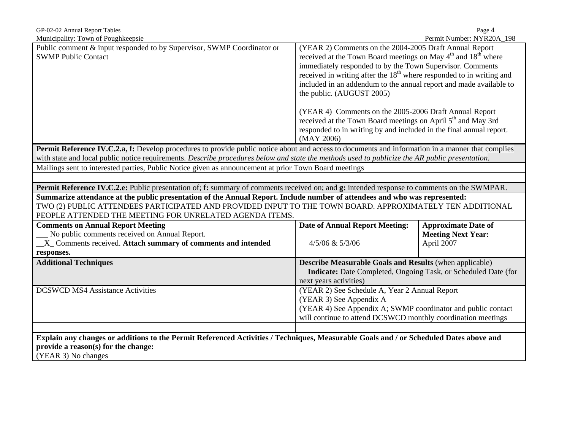| GP-02-02 Annual Report Tables                                                                                                                                                                                                                                                                     |                                                                                                                                                                                                                                                                                                                                                                                                                                                               | Page 4                     |
|---------------------------------------------------------------------------------------------------------------------------------------------------------------------------------------------------------------------------------------------------------------------------------------------------|---------------------------------------------------------------------------------------------------------------------------------------------------------------------------------------------------------------------------------------------------------------------------------------------------------------------------------------------------------------------------------------------------------------------------------------------------------------|----------------------------|
| Municipality: Town of Poughkeepsie<br>Public comment & input responded to by Supervisor, SWMP Coordinator or<br><b>SWMP Public Contact</b>                                                                                                                                                        | (YEAR 2) Comments on the 2004-2005 Draft Annual Report<br>received at the Town Board meetings on May 4 <sup>th</sup> and 18 <sup>th</sup> where<br>immediately responded to by the Town Supervisor. Comments<br>received in writing after the 18 <sup>th</sup> where responded to in writing and<br>included in an addendum to the annual report and made available to<br>the public. (AUGUST 2005)<br>(YEAR 4) Comments on the 2005-2006 Draft Annual Report | Permit Number: NYR20A_198  |
|                                                                                                                                                                                                                                                                                                   | received at the Town Board meetings on April 5 <sup>th</sup> and May 3rd<br>responded to in writing by and included in the final annual report.<br>(MAY 2006)                                                                                                                                                                                                                                                                                                 |                            |
| <b>Permit Reference IV.C.2.a, f:</b> Develop procedures to provide public notice about and access to documents and information in a manner that complies                                                                                                                                          |                                                                                                                                                                                                                                                                                                                                                                                                                                                               |                            |
| with state and local public notice requirements. Describe procedures below and state the methods used to publicize the AR public presentation.                                                                                                                                                    |                                                                                                                                                                                                                                                                                                                                                                                                                                                               |                            |
| Mailings sent to interested parties, Public Notice given as announcement at prior Town Board meetings                                                                                                                                                                                             |                                                                                                                                                                                                                                                                                                                                                                                                                                                               |                            |
|                                                                                                                                                                                                                                                                                                   |                                                                                                                                                                                                                                                                                                                                                                                                                                                               |                            |
| Permit Reference IV.C.2.e: Public presentation of; f: summary of comments received on; and g: intended response to comments on the SWMPAR.                                                                                                                                                        |                                                                                                                                                                                                                                                                                                                                                                                                                                                               |                            |
| Summarize attendance at the public presentation of the Annual Report. Include number of attendees and who was represented:<br>TWO (2) PUBLIC ATTENDEES PARTICIPATED AND PROVIDED INPUT TO THE TOWN BOARD. APPROXIMATELY TEN ADDITIONAL<br>PEOPLE ATTENDED THE MEETING FOR UNRELATED AGENDA ITEMS. |                                                                                                                                                                                                                                                                                                                                                                                                                                                               |                            |
| <b>Comments on Annual Report Meeting</b>                                                                                                                                                                                                                                                          | <b>Date of Annual Report Meeting:</b>                                                                                                                                                                                                                                                                                                                                                                                                                         | <b>Approximate Date of</b> |
| No public comments received on Annual Report.                                                                                                                                                                                                                                                     |                                                                                                                                                                                                                                                                                                                                                                                                                                                               | <b>Meeting Next Year:</b>  |
| _X_ Comments received. Attach summary of comments and intended                                                                                                                                                                                                                                    | $4/5/06$ & $5/3/06$                                                                                                                                                                                                                                                                                                                                                                                                                                           | April 2007                 |
| responses.                                                                                                                                                                                                                                                                                        |                                                                                                                                                                                                                                                                                                                                                                                                                                                               |                            |
| <b>Additional Techniques</b>                                                                                                                                                                                                                                                                      | <b>Describe Measurable Goals and Results (when applicable)</b><br>Indicate: Date Completed, Ongoing Task, or Scheduled Date (for<br>next years activities)                                                                                                                                                                                                                                                                                                    |                            |
| <b>DCSWCD MS4 Assistance Activities</b>                                                                                                                                                                                                                                                           | (YEAR 2) See Schedule A, Year 2 Annual Report                                                                                                                                                                                                                                                                                                                                                                                                                 |                            |
|                                                                                                                                                                                                                                                                                                   | (YEAR 3) See Appendix A                                                                                                                                                                                                                                                                                                                                                                                                                                       |                            |
|                                                                                                                                                                                                                                                                                                   | (YEAR 4) See Appendix A; SWMP coordinator and public contact<br>will continue to attend DCSWCD monthly coordination meetings                                                                                                                                                                                                                                                                                                                                  |                            |
|                                                                                                                                                                                                                                                                                                   |                                                                                                                                                                                                                                                                                                                                                                                                                                                               |                            |
| Explain any changes or additions to the Permit Referenced Activities / Techniques, Measurable Goals and / or Scheduled Dates above and                                                                                                                                                            |                                                                                                                                                                                                                                                                                                                                                                                                                                                               |                            |
| provide a reason(s) for the change:                                                                                                                                                                                                                                                               |                                                                                                                                                                                                                                                                                                                                                                                                                                                               |                            |
| (YEAR 3) No changes                                                                                                                                                                                                                                                                               |                                                                                                                                                                                                                                                                                                                                                                                                                                                               |                            |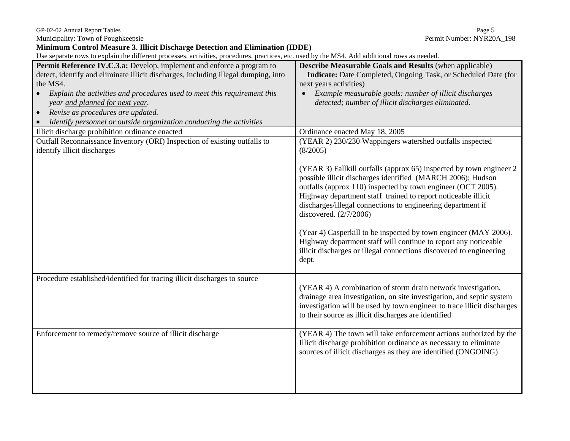Municipality: Town of Poughkeepsie

**Minimum Control Measure 3. Illicit Discharge Detection and Elimination (IDDE)** 

Use separate rows to explain the different processes, activities, procedures, practices, etc. used by the MS4. Add additional rows as needed.

|                                                                                    | <b>Describe Measurable Goals and Results (when applicable)</b>                                                                     |
|------------------------------------------------------------------------------------|------------------------------------------------------------------------------------------------------------------------------------|
| Permit Reference IV.C.3.a: Develop, implement and enforce a program to             |                                                                                                                                    |
| detect, identify and eliminate illicit discharges, including illegal dumping, into | <b>Indicate:</b> Date Completed, Ongoing Task, or Scheduled Date (for                                                              |
| the MS4.                                                                           | next years activities)                                                                                                             |
| Explain the activities and procedures used to meet this requirement this           | Example measurable goals: number of illicit discharges                                                                             |
| year and planned for next year.                                                    | detected; number of illicit discharges eliminated.                                                                                 |
| Revise as procedures are updated.                                                  |                                                                                                                                    |
| Identify personnel or outside organization conducting the activities               |                                                                                                                                    |
| Illicit discharge prohibition ordinance enacted                                    | Ordinance enacted May 18, 2005                                                                                                     |
| Outfall Reconnaissance Inventory (ORI) Inspection of existing outfalls to          | (YEAR 2) 230/230 Wappingers watershed outfalls inspected                                                                           |
| identify illicit discharges                                                        | (8/2005)                                                                                                                           |
|                                                                                    |                                                                                                                                    |
|                                                                                    | (YEAR 3) Fallkill outfalls (approx 65) inspected by town engineer 2<br>possible illicit discharges identified (MARCH 2006); Hudson |
|                                                                                    | outfalls (approx 110) inspected by town engineer (OCT 2005).                                                                       |
|                                                                                    | Highway department staff trained to report noticeable illicit                                                                      |
|                                                                                    | discharges/illegal connections to engineering department if                                                                        |
|                                                                                    | discovered. (2/7/2006)                                                                                                             |
|                                                                                    | (Year 4) Casperkill to be inspected by town engineer (MAY 2006).                                                                   |
|                                                                                    | Highway department staff will continue to report any noticeable                                                                    |
|                                                                                    | illicit discharges or illegal connections discovered to engineering                                                                |
|                                                                                    | dept.                                                                                                                              |
|                                                                                    |                                                                                                                                    |
| Procedure established/identified for tracing illicit discharges to source          |                                                                                                                                    |
|                                                                                    | (YEAR 4) A combination of storm drain network investigation,                                                                       |
|                                                                                    | drainage area investigation, on site investigation, and septic system                                                              |
|                                                                                    | investigation will be used by town engineer to trace illicit discharges                                                            |
|                                                                                    | to their source as illicit discharges are identified                                                                               |
| Enforcement to remedy/remove source of illicit discharge                           | (YEAR 4) The town will take enforcement actions authorized by the                                                                  |
|                                                                                    | Illicit discharge prohibition ordinance as necessary to eliminate                                                                  |
|                                                                                    | sources of illicit discharges as they are identified (ONGOING)                                                                     |
|                                                                                    |                                                                                                                                    |
|                                                                                    |                                                                                                                                    |
|                                                                                    |                                                                                                                                    |
|                                                                                    |                                                                                                                                    |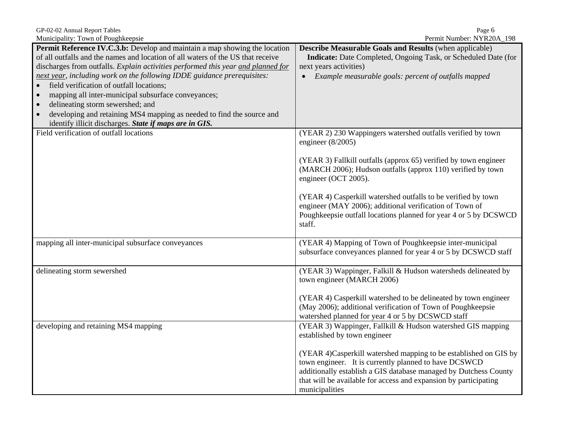GP-02-02 Annual Report Tables<br>
Municipality: Town of Poughkeensie<br>
Municipality: Town of Poughkeensie Municipality: Town of Poughkeepsie

| <b>Mancipality.</b> TOWIL OF I OUGHNCOPSIC                                                                                                                           | $1 \text{ cm}$ $1 \text{ cm}$ $1 \text{ cm}$ $1 \text{ cm}$ $1 \text{ cm}$ $1 \text{ cm}$                                                                                                                                                                                           |
|----------------------------------------------------------------------------------------------------------------------------------------------------------------------|-------------------------------------------------------------------------------------------------------------------------------------------------------------------------------------------------------------------------------------------------------------------------------------|
| <b>Permit Reference IV.C.3.b:</b> Develop and maintain a map showing the location<br>of all outfalls and the names and location of all waters of the US that receive | <b>Describe Measurable Goals and Results (when applicable)</b><br>Indicate: Date Completed, Ongoing Task, or Scheduled Date (for                                                                                                                                                    |
| discharges from outfalls. Explain activities performed this year and planned for                                                                                     | next years activities)                                                                                                                                                                                                                                                              |
| next year, including work on the following IDDE guidance prerequisites:                                                                                              | Example measurable goals: percent of outfalls mapped<br>$\bullet$                                                                                                                                                                                                                   |
| field verification of outfall locations;                                                                                                                             |                                                                                                                                                                                                                                                                                     |
| mapping all inter-municipal subsurface conveyances;<br>$\bullet$                                                                                                     |                                                                                                                                                                                                                                                                                     |
| delineating storm sewershed; and<br>$\bullet$                                                                                                                        |                                                                                                                                                                                                                                                                                     |
| developing and retaining MS4 mapping as needed to find the source and<br>$\bullet$                                                                                   |                                                                                                                                                                                                                                                                                     |
| identify illicit discharges. State if maps are in GIS.                                                                                                               |                                                                                                                                                                                                                                                                                     |
| Field verification of outfall locations                                                                                                                              | (YEAR 2) 230 Wappingers watershed outfalls verified by town<br>engineer $(8/2005)$                                                                                                                                                                                                  |
|                                                                                                                                                                      | (YEAR 3) Fallkill outfalls (approx 65) verified by town engineer<br>(MARCH 2006); Hudson outfalls (approx 110) verified by town<br>engineer (OCT 2005).                                                                                                                             |
|                                                                                                                                                                      | (YEAR 4) Casperkill watershed outfalls to be verified by town<br>engineer (MAY 2006); additional verification of Town of<br>Poughkeepsie outfall locations planned for year 4 or 5 by DCSWCD<br>staff.                                                                              |
| mapping all inter-municipal subsurface conveyances                                                                                                                   | (YEAR 4) Mapping of Town of Poughkeepsie inter-municipal<br>subsurface conveyances planned for year 4 or 5 by DCSWCD staff                                                                                                                                                          |
| delineating storm sewershed                                                                                                                                          | (YEAR 3) Wappinger, Falkill & Hudson watersheds delineated by<br>town engineer (MARCH 2006)                                                                                                                                                                                         |
|                                                                                                                                                                      | (YEAR 4) Casperkill watershed to be delineated by town engineer<br>(May 2006); additional verification of Town of Poughkeepsie<br>watershed planned for year 4 or 5 by DCSWCD staff                                                                                                 |
| developing and retaining MS4 mapping                                                                                                                                 | (YEAR 3) Wappinger, Fallkill & Hudson watershed GIS mapping<br>established by town engineer                                                                                                                                                                                         |
|                                                                                                                                                                      | (YEAR 4)Casperkill watershed mapping to be established on GIS by<br>town engineer. It is currently planned to have DCSWCD<br>additionally establish a GIS database managed by Dutchess County<br>that will be available for access and expansion by participating<br>municipalities |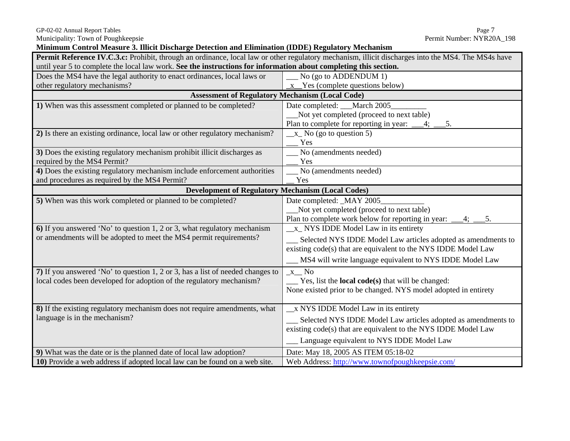**Minimum Control Measure 3. Illicit Discharge Detection and Elimination (IDDE) Regulatory Mechanism** 

| Permit Reference IV.C.3.c: Prohibit, through an ordinance, local law or other regulatory mechanism, illicit discharges into the MS4. The MS4s have |                                                                        |  |
|----------------------------------------------------------------------------------------------------------------------------------------------------|------------------------------------------------------------------------|--|
| until year 5 to complete the local law work. See the instructions for information about completing this section.                                   |                                                                        |  |
| Does the MS4 have the legal authority to enact ordinances, local laws or                                                                           | No (go to ADDENDUM 1)                                                  |  |
| other regulatory mechanisms?                                                                                                                       | $x$ Yes (complete questions below)                                     |  |
| <b>Assessment of Regulatory Mechanism (Local Code)</b>                                                                                             |                                                                        |  |
| 1) When was this assessment completed or planned to be completed?                                                                                  | Date completed: March 2005                                             |  |
|                                                                                                                                                    | Not yet completed (proceed to next table)                              |  |
|                                                                                                                                                    | Plan to complete for reporting in year:                                |  |
| 2) Is there an existing ordinance, local law or other regulatory mechanism?                                                                        | $\_\ x_$ No (go to question 5)                                         |  |
|                                                                                                                                                    | Yes                                                                    |  |
| 3) Does the existing regulatory mechanism prohibit illicit discharges as                                                                           | No (amendments needed)                                                 |  |
| required by the MS4 Permit?                                                                                                                        | Yes                                                                    |  |
| 4) Does the existing regulatory mechanism include enforcement authorities                                                                          | No (amendments needed)                                                 |  |
| and procedures as required by the MS4 Permit?                                                                                                      | Yes                                                                    |  |
| <b>Development of Regulatory Mechanism (Local Codes)</b>                                                                                           |                                                                        |  |
| 5) When was this work completed or planned to be completed?                                                                                        | Date completed: _MAY 2005_                                             |  |
|                                                                                                                                                    | Not yet completed (proceed to next table)                              |  |
|                                                                                                                                                    | Plan to complete work below for reporting in year:<br>5.               |  |
| 6) If you answered 'No' to question 1, 2 or 3, what regulatory mechanism                                                                           | _x_ NYS IDDE Model Law in its entirety                                 |  |
| or amendments will be adopted to meet the MS4 permit requirements?                                                                                 | Selected NYS IDDE Model Law articles adopted as amendments to          |  |
|                                                                                                                                                    | existing code(s) that are equivalent to the NYS IDDE Model Law         |  |
|                                                                                                                                                    | MS4 will write language equivalent to NYS IDDE Model Law               |  |
| 7) If you answered 'No' to question 1, 2 or 3, has a list of needed changes to                                                                     | $x$ <sub><math>\sim</math></sub> No                                    |  |
| local codes been developed for adoption of the regulatory mechanism?                                                                               | $\frac{1}{2}$ Yes, list the <b>local code(s)</b> that will be changed: |  |
|                                                                                                                                                    | None existed prior to be changed. NYS model adopted in entirety        |  |
|                                                                                                                                                    |                                                                        |  |
| 8) If the existing regulatory mechanism does not require amendments, what                                                                          | x NYS IDDE Model Law in its entirety                                   |  |
| language is in the mechanism?                                                                                                                      | Selected NYS IDDE Model Law articles adopted as amendments to          |  |
|                                                                                                                                                    | existing code(s) that are equivalent to the NYS IDDE Model Law         |  |
|                                                                                                                                                    |                                                                        |  |
|                                                                                                                                                    | Language equivalent to NYS IDDE Model Law                              |  |
| 9) What was the date or is the planned date of local law adoption?                                                                                 | Date: May 18, 2005 AS ITEM 05:18-02                                    |  |
| 10) Provide a web address if adopted local law can be found on a web site.                                                                         | Web Address: http://www.townofpoughkeepsie.com/                        |  |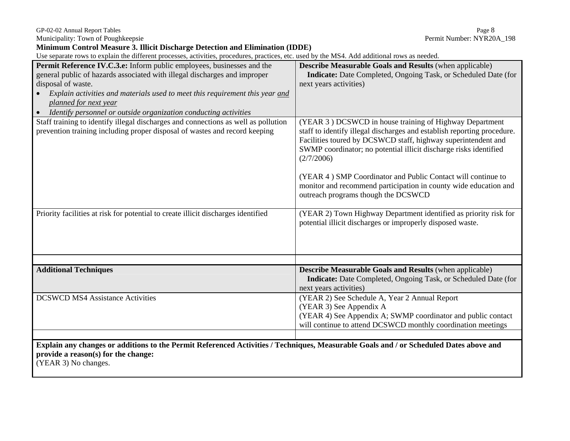Municipality: Town of Poughkeepsie

**Minimum Control Measure 3. Illicit Discharge Detection and Elimination (IDDE)** 

Use separate rows to explain the different processes, activities, procedures, practices, etc. used by the MS4. Add additional rows as needed.

| бъе зеранае тому со схранн не антегент ргосевых, аситител, ргоссийсез, ргасисез, етс. изси бу ни тиб <del>л</del> . Ани анинонантому аз несией                                                                                                                                                                                                                                                                                                                                                                                                                                                                                      |                                                                                                                                                                                                                                                                                                                                                                                                                                                                                                                                                                                                                                                                                                                                                                          |
|-------------------------------------------------------------------------------------------------------------------------------------------------------------------------------------------------------------------------------------------------------------------------------------------------------------------------------------------------------------------------------------------------------------------------------------------------------------------------------------------------------------------------------------------------------------------------------------------------------------------------------------|--------------------------------------------------------------------------------------------------------------------------------------------------------------------------------------------------------------------------------------------------------------------------------------------------------------------------------------------------------------------------------------------------------------------------------------------------------------------------------------------------------------------------------------------------------------------------------------------------------------------------------------------------------------------------------------------------------------------------------------------------------------------------|
| <b>Permit Reference IV.C.3.e:</b> Inform public employees, businesses and the<br>general public of hazards associated with illegal discharges and improper<br>disposal of waste.<br>Explain activities and materials used to meet this requirement this year and<br>planned for next year<br>Identify personnel or outside organization conducting activities<br>$\bullet$<br>Staff training to identify illegal discharges and connections as well as pollution<br>prevention training including proper disposal of wastes and record keeping<br>Priority facilities at risk for potential to create illicit discharges identified | <b>Describe Measurable Goals and Results (when applicable)</b><br><b>Indicate:</b> Date Completed, Ongoing Task, or Scheduled Date (for<br>next years activities)<br>(YEAR 3) DCSWCD in house training of Highway Department<br>staff to identify illegal discharges and establish reporting procedure.<br>Facilities toured by DCSWCD staff, highway superintendent and<br>SWMP coordinator; no potential illicit discharge risks identified<br>(2/7/2006)<br>(YEAR 4) SMP Coordinator and Public Contact will continue to<br>monitor and recommend participation in county wide education and<br>outreach programs though the DCSWCD<br>(YEAR 2) Town Highway Department identified as priority risk for<br>potential illicit discharges or improperly disposed waste. |
| <b>Additional Techniques</b><br><b>DCSWCD MS4 Assistance Activities</b>                                                                                                                                                                                                                                                                                                                                                                                                                                                                                                                                                             | <b>Describe Measurable Goals and Results (when applicable)</b><br><b>Indicate:</b> Date Completed, Ongoing Task, or Scheduled Date (for<br>next years activities)<br>(YEAR 2) See Schedule A, Year 2 Annual Report<br>(YEAR 3) See Appendix A<br>(YEAR 4) See Appendix A; SWMP coordinator and public contact<br>will continue to attend DCSWCD monthly coordination meetings                                                                                                                                                                                                                                                                                                                                                                                            |
| Explain any changes or additions to the Permit Referenced Activities / Techniques, Measurable Goals and / or Scheduled Dates above and                                                                                                                                                                                                                                                                                                                                                                                                                                                                                              |                                                                                                                                                                                                                                                                                                                                                                                                                                                                                                                                                                                                                                                                                                                                                                          |
| provide a reason(s) for the change:<br>(YEAR 3) No changes.                                                                                                                                                                                                                                                                                                                                                                                                                                                                                                                                                                         |                                                                                                                                                                                                                                                                                                                                                                                                                                                                                                                                                                                                                                                                                                                                                                          |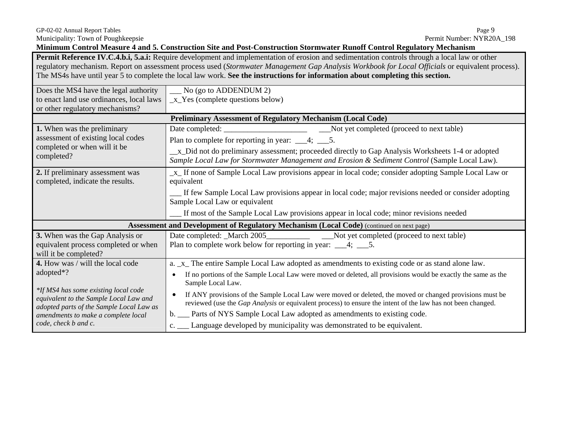**Minimum Control Measure 4 and 5. Construction Site and Post-Construction Stormwater Runoff Control Regulatory Mechanism** 

**Permit Reference IV.C.4.b.i, 5.a.i:** Require development and implementation of erosion and sedimentation controls through a local law or other regulatory mechanism. Report on assessment process used (*Stormwater Management Gap Analysis Workbook for Local Officials* or equivalent process). The MS4s have until year 5 to complete the local law work. **See the instructions for information about completing this section.** 

| Does the MS4 have the legal authority<br>to enact land use ordinances, local laws                               | No (go to ADDENDUM 2)<br>$_x$ Yes (complete questions below)                                                                                                                                                                                                         |  |  |
|-----------------------------------------------------------------------------------------------------------------|----------------------------------------------------------------------------------------------------------------------------------------------------------------------------------------------------------------------------------------------------------------------|--|--|
| or other regulatory mechanisms?                                                                                 |                                                                                                                                                                                                                                                                      |  |  |
| Preliminary Assessment of Regulatory Mechanism (Local Code)                                                     |                                                                                                                                                                                                                                                                      |  |  |
| 1. When was the preliminary<br>assessment of existing local codes<br>completed or when will it be<br>completed? | Plan to complete for reporting in year: $\_\_\_4$ ; $\_\_5$ .<br>_x_Did not do preliminary assessment; proceeded directly to Gap Analysis Worksheets 1-4 or adopted<br>Sample Local Law for Stormwater Management and Erosion & Sediment Control (Sample Local Law). |  |  |
| 2. If preliminary assessment was<br>completed, indicate the results.                                            | _x_ If none of Sample Local Law provisions appear in local code; consider adopting Sample Local Law or<br>equivalent                                                                                                                                                 |  |  |
|                                                                                                                 | If few Sample Local Law provisions appear in local code; major revisions needed or consider adopting<br>Sample Local Law or equivalent                                                                                                                               |  |  |
|                                                                                                                 | If most of the Sample Local Law provisions appear in local code; minor revisions needed                                                                                                                                                                              |  |  |
|                                                                                                                 | <b>Assessment and Development of Regulatory Mechanism (Local Code)</b> (continued on next page)                                                                                                                                                                      |  |  |
|                                                                                                                 |                                                                                                                                                                                                                                                                      |  |  |
| 3. When was the Gap Analysis or                                                                                 | Date completed: _March 2005__________________________Not yet completed (proceed to next table)                                                                                                                                                                       |  |  |
| equivalent process completed or when<br>will it be completed?                                                   | Plan to complete work below for reporting in year: $\_\_\_4$ ; $\_\_5$ .                                                                                                                                                                                             |  |  |
| 4. How was / will the local code                                                                                | a. x_ The entire Sample Local Law adopted as amendments to existing code or as stand alone law.                                                                                                                                                                      |  |  |
| adopted <sup>*?</sup>                                                                                           | If no portions of the Sample Local Law were moved or deleted, all provisions would be exactly the same as the<br>$\bullet$<br>Sample Local Law.                                                                                                                      |  |  |
| *If MS4 has some existing local code<br>equivalent to the Sample Local Law and                                  | If ANY provisions of the Sample Local Law were moved or deleted, the moved or changed provisions must be<br>reviewed (use the <i>Gap Analysis</i> or equivalent process) to ensure the intent of the law has not been changed.                                       |  |  |
| adopted parts of the Sample Local Law as<br>amendments to make a complete local                                 | b. __ Parts of NYS Sample Local Law adopted as amendments to existing code.                                                                                                                                                                                          |  |  |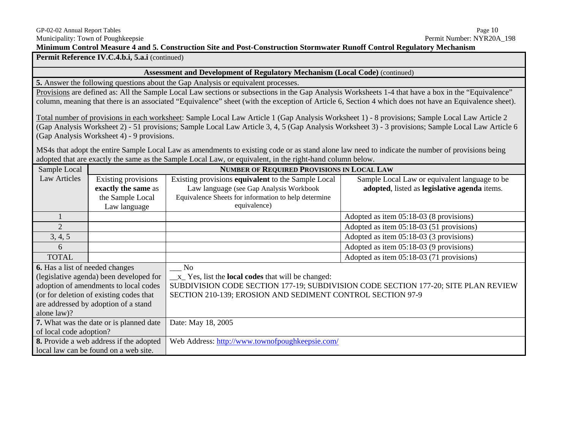Permit Reference IV.C.4.b.i, 5.a.i (continued)

### **Assessment and Development of Regulatory Mechanism (Local Code)** (continued)

**5.** Answer the following questions about the Gap Analysis or equivalent processes.

Provisions are defined as: All the Sample Local Law sections or subsections in the Gap Analysis Worksheets 1-4 that have a box in the "Equivalence" column, meaning that there is an associated "Equivalence" sheet (with the exception of Article 6, Section 4 which does not have an Equivalence sheet).

Total number of provisions in each worksheet: Sample Local Law Article 1 (Gap Analysis Worksheet 1) - 8 provisions; Sample Local Law Article 2 (Gap Analysis Worksheet 2) - 51 provisions; Sample Local Law Article 3, 4, 5 (Gap Analysis Worksheet 3) - 3 provisions; Sample Local Law Article 6 (Gap Analysis Worksheet 4) - 9 provisions.

MS4s that adopt the entire Sample Local Law as amendments to existing code or as stand alone law need to indicate the number of provisions being adopted that are exactly the same as the Sample Local Law*,* or equivalent, in the right-hand column below.

| Sample Local                           |                                                | <b>NUMBER OF REQUIRED PROVISIONS IN LOCAL LAW</b>                                  |                                               |  |
|----------------------------------------|------------------------------------------------|------------------------------------------------------------------------------------|-----------------------------------------------|--|
| <b>Law Articles</b>                    | Existing provisions                            | Existing provisions equivalent to the Sample Local                                 | Sample Local Law or equivalent language to be |  |
|                                        | exactly the same as                            | Law language (see Gap Analysis Workbook                                            | adopted, listed as legislative agenda items.  |  |
|                                        | the Sample Local                               | Equivalence Sheets for information to help determine                               |                                               |  |
|                                        | Law language                                   | equivalence)                                                                       |                                               |  |
|                                        |                                                |                                                                                    | Adopted as item 05:18-03 (8 provisions)       |  |
| 2                                      |                                                |                                                                                    | Adopted as item 05:18-03 (51 provisions)      |  |
| 3, 4, 5                                |                                                |                                                                                    | Adopted as item 05:18-03 (3 provisions)       |  |
| 6                                      |                                                |                                                                                    | Adopted as item 05:18-03 (9 provisions)       |  |
| <b>TOTAL</b>                           |                                                |                                                                                    | Adopted as item 05:18-03 (71 provisions)      |  |
| <b>6.</b> Has a list of needed changes |                                                | N <sub>o</sub>                                                                     |                                               |  |
|                                        | (legislative agenda) been developed for        | $\_\ x$ Yes, list the <b>local codes</b> that will be changed:                     |                                               |  |
|                                        | adoption of amendments to local codes          | SUBDIVISION CODE SECTION 177-19; SUBDIVISION CODE SECTION 177-20; SITE PLAN REVIEW |                                               |  |
|                                        | (or for deletion of existing codes that        | SECTION 210-139; EROSION AND SEDIMENT CONTROL SECTION 97-9                         |                                               |  |
|                                        | are addressed by adoption of a stand           |                                                                                    |                                               |  |
| alone law)?                            |                                                |                                                                                    |                                               |  |
|                                        | <b>7.</b> What was the date or is planned date | Date: May 18, 2005                                                                 |                                               |  |
| of local code adoption?                |                                                |                                                                                    |                                               |  |
|                                        | <b>8.</b> Provide a web address if the adopted | Web Address: http://www.townofpoughkeepsie.com/                                    |                                               |  |
|                                        | local law can be found on a web site.          |                                                                                    |                                               |  |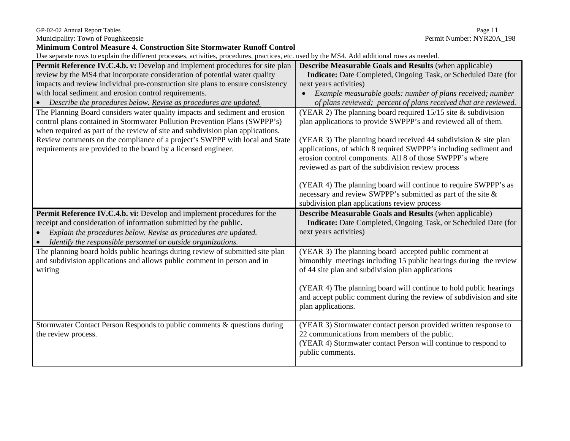GP-02-02 Annual Report Tables Page 11

| <b>Minimum Control Measure 4. Construction Site Stormwater Runoff Control</b>                                                                                                                                                                                                                                                                                                                |                                                                                                                                                                                                                                                                                                                                                                                               |  |  |
|----------------------------------------------------------------------------------------------------------------------------------------------------------------------------------------------------------------------------------------------------------------------------------------------------------------------------------------------------------------------------------------------|-----------------------------------------------------------------------------------------------------------------------------------------------------------------------------------------------------------------------------------------------------------------------------------------------------------------------------------------------------------------------------------------------|--|--|
| Use separate rows to explain the different processes, activities, procedures, practices, etc. used by the MS4. Add additional rows as needed.                                                                                                                                                                                                                                                |                                                                                                                                                                                                                                                                                                                                                                                               |  |  |
| Permit Reference IV.C.4.b. v: Develop and implement procedures for site plan<br>review by the MS4 that incorporate consideration of potential water quality<br>impacts and review individual pre-construction site plans to ensure consistency<br>with local sediment and erosion control requirements.<br>Describe the procedures below. Revise as procedures are updated.                  | <b>Describe Measurable Goals and Results (when applicable)</b><br><b>Indicate:</b> Date Completed, Ongoing Task, or Scheduled Date (for<br>next years activities)<br>• Example measurable goals: number of plans received; number<br>of plans reviewed; percent of plans received that are reviewed.                                                                                          |  |  |
| The Planning Board considers water quality impacts and sediment and erosion<br>control plans contained in Stormwater Pollution Prevention Plans (SWPPP's)<br>when required as part of the review of site and subdivision plan applications.<br>Review comments on the compliance of a project's SWPPP with local and State<br>requirements are provided to the board by a licensed engineer. | (YEAR 2) The planning board required $15/15$ site & subdivision<br>plan applications to provide SWPPP's and reviewed all of them.<br>(YEAR 3) The planning board received 44 subdivision $\&$ site plan<br>applications, of which 8 required SWPPP's including sediment and<br>erosion control components. All 8 of those SWPPP's where<br>reviewed as part of the subdivision review process |  |  |
|                                                                                                                                                                                                                                                                                                                                                                                              | (YEAR 4) The planning board will continue to require SWPPP's as<br>necessary and review SWPPP's submitted as part of the site &<br>subdivision plan applications review process                                                                                                                                                                                                               |  |  |
| Permit Reference IV.C.4.b. vi: Develop and implement procedures for the<br>receipt and consideration of information submitted by the public.<br>Explain the procedures below. Revise as procedures are updated.<br>Identify the responsible personnel or outside organizations.<br>$\bullet$                                                                                                 | <b>Describe Measurable Goals and Results (when applicable)</b><br>Indicate: Date Completed, Ongoing Task, or Scheduled Date (for<br>next years activities)                                                                                                                                                                                                                                    |  |  |
| The planning board holds public hearings during review of submitted site plan<br>and subdivision applications and allows public comment in person and in<br>writing                                                                                                                                                                                                                          | (YEAR 3) The planning board accepted public comment at<br>bimonthly meetings including 15 public hearings during the review<br>of 44 site plan and subdivision plan applications<br>(YEAR 4) The planning board will continue to hold public hearings<br>and accept public comment during the review of subdivision and site<br>plan applications.                                            |  |  |
| Stormwater Contact Person Responds to public comments & questions during<br>the review process.                                                                                                                                                                                                                                                                                              | (YEAR 3) Stormwater contact person provided written response to<br>22 communications from members of the public.<br>(YEAR 4) Stormwater contact Person will continue to respond to<br>public comments.                                                                                                                                                                                        |  |  |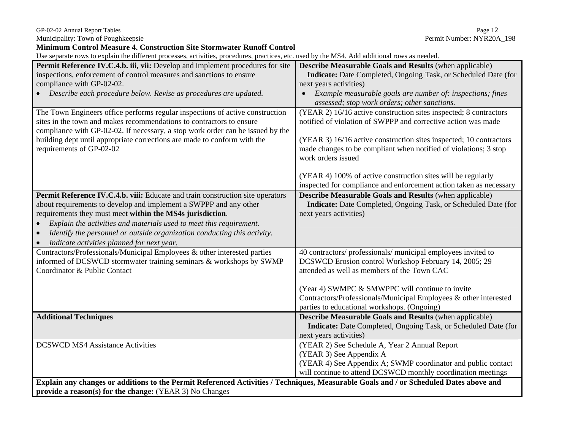GP-02-02 Annual Report Tables Page 12

Municipality: Town of Poughkeepsie **Permit Number: NYR20A\_198** Permit Number: NYR20A\_198

**Minimum Control Measure 4. Construction Site Stormwater Runoff Control**  Use separate rows to explain the different processes, activities, procedures, practices, etc. used by the MS4. Add additional rows as needed. **Permit Reference IV.C.4.b. iii, vii:** Develop and implement procedures for site inspections, enforcement of control measures and sanctions to ensure compliance with GP-02-02. • *Describe each procedure below. Revise as procedures are updated.* **Describe Measurable Goals and Results** (when applicable)  **Indicate:** Date Completed, Ongoing Task, or Scheduled Date (for next years activities) • *Example measurable goals are number of: inspections; fines assessed; stop work orders; other sanctions.*  The Town Engineers office performs regular inspections of active construction sites in the town and makes recommendations to contractors to ensure compliance with GP-02-02. If necessary, a stop work order can be issued by the building dept until appropriate corrections are made to conform with the requirements of GP-02-02 (YEAR 2) 16/16 active construction sites inspected; 8 contractors notified of violation of SWPPP and corrective action was made (YEAR 3) 16/16 active construction sites inspected; 10 contractors made changes to be compliant when notified of violations; 3 stop work orders issued

(YEAR 4) 100% of active construction sites will be regularly

| inspected for compliance and enforcement action taken as necessary                                                                                                                                                                                                                                                                                        |
|-----------------------------------------------------------------------------------------------------------------------------------------------------------------------------------------------------------------------------------------------------------------------------------------------------------------------------------------------------------|
| <b>Describe Measurable Goals and Results (when applicable)</b><br><b>Indicate:</b> Date Completed, Ongoing Task, or Scheduled Date (for<br>next years activities)                                                                                                                                                                                         |
| 40 contractors/ professionals/ municipal employees invited to<br>DCSWCD Erosion control Workshop February 14, 2005; 29<br>attended as well as members of the Town CAC<br>(Year 4) SWMPC & SMWPPC will continue to invite<br>Contractors/Professionals/Municipal Employees & other interested<br>parties to educational workshops. (Ongoing)               |
| <b>Describe Measurable Goals and Results (when applicable)</b><br><b>Indicate:</b> Date Completed, Ongoing Task, or Scheduled Date (for<br>next years activities)                                                                                                                                                                                         |
| (YEAR 2) See Schedule A, Year 2 Annual Report<br>(YEAR 3) See Appendix A<br>(YEAR 4) See Appendix A; SWMP coordinator and public contact<br>will continue to attend DCSWCD monthly coordination meetings<br><u>Evolain any changes are additions to the Permit Referenced Activities / Techniques Measurable Coals and Lar Scheduled Dates above and </u> |
|                                                                                                                                                                                                                                                                                                                                                           |

**Explored Activities / Techniques, Measurable Goals and provide a reason(s) for the change:** (YEAR 3) No Changes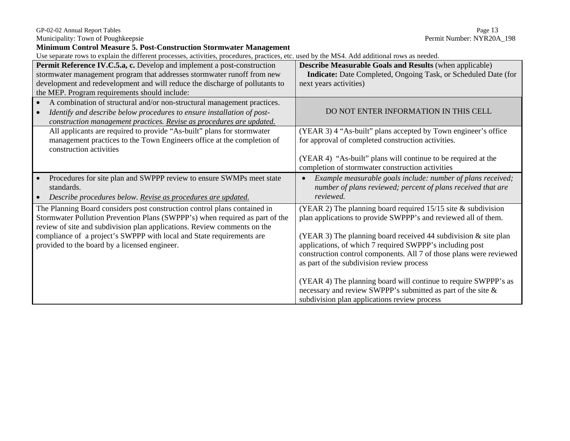| GP-02-02 Annual Report Tables | Page 13 |
|-------------------------------|---------|
|                               |         |

| <b>Minimum Control Measure 5. Post-Construction Stormwater Management</b>                                                                                                                                                             |                                                                                                                                                                                                                                                    |  |
|---------------------------------------------------------------------------------------------------------------------------------------------------------------------------------------------------------------------------------------|----------------------------------------------------------------------------------------------------------------------------------------------------------------------------------------------------------------------------------------------------|--|
| Use separate rows to explain the different processes, activities, procedures, practices, etc. used by the MS4. Add additional rows as needed.                                                                                         |                                                                                                                                                                                                                                                    |  |
| Permit Reference IV.C.5.a, c. Develop and implement a post-construction<br>stormwater management program that addresses stormwater runoff from new                                                                                    | <b>Describe Measurable Goals and Results (when applicable)</b><br><b>Indicate:</b> Date Completed, Ongoing Task, or Scheduled Date (for                                                                                                            |  |
| development and redevelopment and will reduce the discharge of pollutants to<br>the MEP. Program requirements should include:                                                                                                         | next years activities)                                                                                                                                                                                                                             |  |
| A combination of structural and/or non-structural management practices.<br>Identify and describe below procedures to ensure installation of post-<br>construction management practices. Revise as procedures are updated.             | DO NOT ENTER INFORMATION IN THIS CELL                                                                                                                                                                                                              |  |
| All applicants are required to provide "As-built" plans for stormwater<br>management practices to the Town Engineers office at the completion of<br>construction activities                                                           | (YEAR 3) 4 "As-built" plans accepted by Town engineer's office<br>for approval of completed construction activities.                                                                                                                               |  |
|                                                                                                                                                                                                                                       | (YEAR 4) "As-built" plans will continue to be required at the<br>completion of stormwater construction activities                                                                                                                                  |  |
| Procedures for site plan and SWPPP review to ensure SWMPs meet state<br>standards.<br>Describe procedures below. Revise as procedures are updated.                                                                                    | Example measurable goals include: number of plans received;<br>$\bullet$<br>number of plans reviewed; percent of plans received that are<br>reviewed.                                                                                              |  |
| The Planning Board considers post construction control plans contained in<br>Stormwater Pollution Prevention Plans (SWPPP's) when required as part of the<br>review of site and subdivision plan applications. Review comments on the | (YEAR 2) The planning board required $15/15$ site & subdivision<br>plan applications to provide SWPPP's and reviewed all of them.                                                                                                                  |  |
| compliance of a project's SWPPP with local and State requirements are<br>provided to the board by a licensed engineer.                                                                                                                | (YEAR 3) The planning board received 44 subdivision $\&$ site plan<br>applications, of which 7 required SWPPP's including post<br>construction control components. All 7 of those plans were reviewed<br>as part of the subdivision review process |  |
|                                                                                                                                                                                                                                       | (YEAR 4) The planning board will continue to require SWPPP's as<br>necessary and review SWPPP's submitted as part of the site &<br>subdivision plan applications review process                                                                    |  |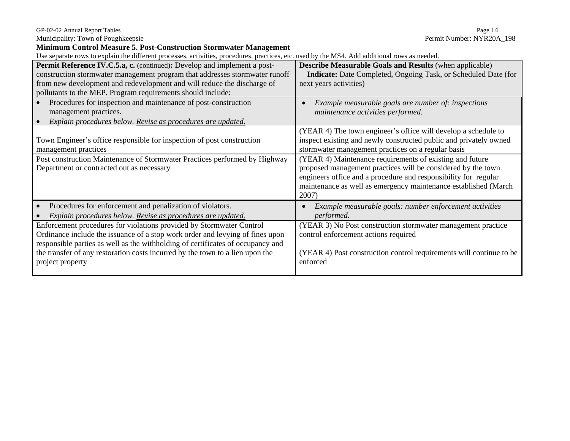| <b>Minimum Control Measure 5. Post-Construction Stormwater Management</b>                                                                     |                                                                      |  |
|-----------------------------------------------------------------------------------------------------------------------------------------------|----------------------------------------------------------------------|--|
| Use separate rows to explain the different processes, activities, procedures, practices, etc. used by the MS4. Add additional rows as needed. |                                                                      |  |
| Permit Reference IV.C.5.a, c. (continued): Develop and implement a post-                                                                      | <b>Describe Measurable Goals and Results (when applicable)</b>       |  |
| construction stormwater management program that addresses stormwater runoff                                                                   | Indicate: Date Completed, Ongoing Task, or Scheduled Date (for       |  |
| from new development and redevelopment and will reduce the discharge of                                                                       | next years activities)                                               |  |
| pollutants to the MEP. Program requirements should include:                                                                                   |                                                                      |  |
| Procedures for inspection and maintenance of post-construction                                                                                | Example measurable goals are number of: inspections                  |  |
| management practices.                                                                                                                         | maintenance activities performed.                                    |  |
| Explain procedures below. Revise as procedures are updated.                                                                                   |                                                                      |  |
|                                                                                                                                               | (YEAR 4) The town engineer's office will develop a schedule to       |  |
| Town Engineer's office responsible for inspection of post construction                                                                        | inspect existing and newly constructed public and privately owned    |  |
| management practices                                                                                                                          | stormwater management practices on a regular basis                   |  |
| Post construction Maintenance of Stormwater Practices performed by Highway                                                                    | (YEAR 4) Maintenance requirements of existing and future             |  |
| Department or contracted out as necessary                                                                                                     | proposed management practices will be considered by the town         |  |
|                                                                                                                                               | engineers office and a procedure and responsibility for regular      |  |
|                                                                                                                                               | maintenance as well as emergency maintenance established (March      |  |
|                                                                                                                                               | 2007)                                                                |  |
| Procedures for enforcement and penalization of violators.                                                                                     | Example measurable goals: number enforcement activities<br>$\bullet$ |  |
| Explain procedures below. Revise as procedures are updated.                                                                                   | performed.                                                           |  |
| Enforcement procedures for violations provided by Stormwater Control                                                                          | (YEAR 3) No Post construction stormwater management practice         |  |
| Ordinance include the issuance of a stop work order and levying of fines upon                                                                 | control enforcement actions required                                 |  |
| responsible parties as well as the withholding of certificates of occupancy and                                                               |                                                                      |  |
| the transfer of any restoration costs incurred by the town to a lien upon the                                                                 | (YEAR 4) Post construction control requirements will continue to be  |  |
| project property                                                                                                                              | enforced                                                             |  |
|                                                                                                                                               |                                                                      |  |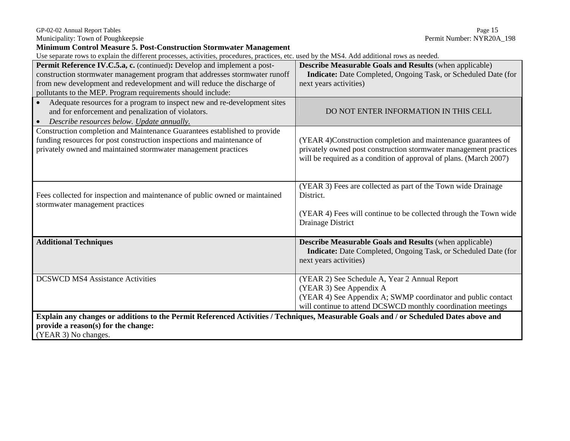| 7P-02-02 Annual Report Tables |  |
|-------------------------------|--|

| <b>Minimum Control Measure 5. Post-Construction Stormwater Management</b>                                                                     |                                                                       |  |
|-----------------------------------------------------------------------------------------------------------------------------------------------|-----------------------------------------------------------------------|--|
| Use separate rows to explain the different processes, activities, procedures, practices, etc. used by the MS4. Add additional rows as needed. |                                                                       |  |
| Permit Reference IV.C.5.a, c. (continued): Develop and implement a post-                                                                      | <b>Describe Measurable Goals and Results (when applicable)</b>        |  |
| construction stormwater management program that addresses stormwater runoff                                                                   | <b>Indicate:</b> Date Completed, Ongoing Task, or Scheduled Date (for |  |
| from new development and redevelopment and will reduce the discharge of                                                                       | next years activities)                                                |  |
| pollutants to the MEP. Program requirements should include:                                                                                   |                                                                       |  |
| Adequate resources for a program to inspect new and re-development sites                                                                      |                                                                       |  |
| and for enforcement and penalization of violators.                                                                                            | DO NOT ENTER INFORMATION IN THIS CELL                                 |  |
| Describe resources below. Update annually.<br>$\bullet$                                                                                       |                                                                       |  |
| Construction completion and Maintenance Guarantees established to provide                                                                     |                                                                       |  |
| funding resources for post construction inspections and maintenance of                                                                        | (YEAR 4)Construction completion and maintenance guarantees of         |  |
| privately owned and maintained stormwater management practices                                                                                | privately owned post construction stormwater management practices     |  |
|                                                                                                                                               | will be required as a condition of approval of plans. (March 2007)    |  |
|                                                                                                                                               |                                                                       |  |
|                                                                                                                                               |                                                                       |  |
|                                                                                                                                               | (YEAR 3) Fees are collected as part of the Town wide Drainage         |  |
| Fees collected for inspection and maintenance of public owned or maintained                                                                   | District.                                                             |  |
| stormwater management practices                                                                                                               |                                                                       |  |
|                                                                                                                                               | (YEAR 4) Fees will continue to be collected through the Town wide     |  |
|                                                                                                                                               | Drainage District                                                     |  |
|                                                                                                                                               |                                                                       |  |
| <b>Additional Techniques</b>                                                                                                                  | Describe Measurable Goals and Results (when applicable)               |  |
|                                                                                                                                               | Indicate: Date Completed, Ongoing Task, or Scheduled Date (for        |  |
|                                                                                                                                               | next years activities)                                                |  |
|                                                                                                                                               |                                                                       |  |
| <b>DCSWCD MS4 Assistance Activities</b>                                                                                                       | (YEAR 2) See Schedule A, Year 2 Annual Report                         |  |
|                                                                                                                                               | (YEAR 3) See Appendix A                                               |  |
|                                                                                                                                               | (YEAR 4) See Appendix A; SWMP coordinator and public contact          |  |
|                                                                                                                                               | will continue to attend DCSWCD monthly coordination meetings          |  |
| Explain any changes or additions to the Permit Referenced Activities / Techniques, Measurable Goals and / or Scheduled Dates above and        |                                                                       |  |
| provide a reason(s) for the change:                                                                                                           |                                                                       |  |
| (YEAR 3) No changes.                                                                                                                          |                                                                       |  |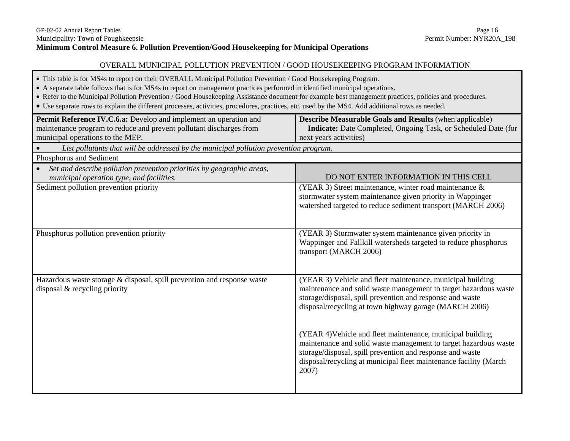## OVERALL MUNICIPAL POLLUTION PREVENTION / GOOD HOUSEKEEPING PROGRAM INFORMATION

- This table is for MS4s to report on their OVERALL Municipal Pollution Prevention / Good Housekeeping Program.
- A separate table follows that is for MS4s to report on management practices performed in identified municipal operations.
- Refer to the Municipal Pollution Prevention / Good Housekeeping Assistance document for example best management practices, policies and procedures.
- Use separate rows to explain the different processes, activities, procedures, practices, etc. used by the MS4. Add additional rows as needed.

| Permit Reference IV.C.6.a: Develop and implement an operation and<br>maintenance program to reduce and prevent pollutant discharges from<br>municipal operations to the MEP. | <b>Describe Measurable Goals and Results (when applicable)</b><br>Indicate: Date Completed, Ongoing Task, or Scheduled Date (for<br>next years activities)                                                                                                                |
|------------------------------------------------------------------------------------------------------------------------------------------------------------------------------|---------------------------------------------------------------------------------------------------------------------------------------------------------------------------------------------------------------------------------------------------------------------------|
| List pollutants that will be addressed by the municipal pollution prevention program.                                                                                        |                                                                                                                                                                                                                                                                           |
| Phosphorus and Sediment                                                                                                                                                      |                                                                                                                                                                                                                                                                           |
| Set and describe pollution prevention priorities by geographic areas,<br>municipal operation type, and facilities.                                                           | DO NOT ENTER INFORMATION IN THIS CELL                                                                                                                                                                                                                                     |
| Sediment pollution prevention priority                                                                                                                                       | (YEAR 3) Street maintenance, winter road maintenance &<br>stormwater system maintenance given priority in Wappinger<br>watershed targeted to reduce sediment transport (MARCH 2006)                                                                                       |
| Phosphorus pollution prevention priority                                                                                                                                     | (YEAR 3) Stormwater system maintenance given priority in<br>Wappinger and Fallkill watersheds targeted to reduce phosphorus<br>transport (MARCH 2006)                                                                                                                     |
| Hazardous waste storage & disposal, spill prevention and response waste<br>disposal & recycling priority                                                                     | (YEAR 3) Vehicle and fleet maintenance, municipal building<br>maintenance and solid waste management to target hazardous waste<br>storage/disposal, spill prevention and response and waste<br>disposal/recycling at town highway garage (MARCH 2006)                     |
|                                                                                                                                                                              | (YEAR 4) Vehicle and fleet maintenance, municipal building<br>maintenance and solid waste management to target hazardous waste<br>storage/disposal, spill prevention and response and waste<br>disposal/recycling at municipal fleet maintenance facility (March<br>2007) |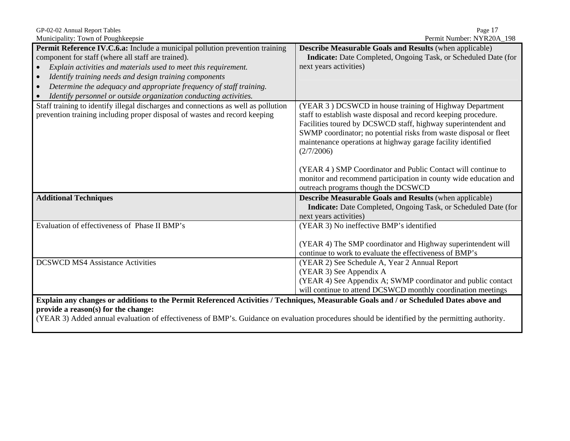| Municipality: Town of Poughkeepsie                                                                                                                                            | Permit Number: NYR20A 198                                                                                                                                                                                                                                                                                                                      |
|-------------------------------------------------------------------------------------------------------------------------------------------------------------------------------|------------------------------------------------------------------------------------------------------------------------------------------------------------------------------------------------------------------------------------------------------------------------------------------------------------------------------------------------|
| <b>Permit Reference IV.C.6.a:</b> Include a municipal pollution prevention training                                                                                           | <b>Describe Measurable Goals and Results (when applicable)</b>                                                                                                                                                                                                                                                                                 |
| component for staff (where all staff are trained).                                                                                                                            | Indicate: Date Completed, Ongoing Task, or Scheduled Date (for                                                                                                                                                                                                                                                                                 |
| Explain activities and materials used to meet this requirement.<br>$\bullet$                                                                                                  | next years activities)                                                                                                                                                                                                                                                                                                                         |
| Identify training needs and design training components<br>$\bullet$                                                                                                           |                                                                                                                                                                                                                                                                                                                                                |
| Determine the adequacy and appropriate frequency of staff training.<br>$\bullet$                                                                                              |                                                                                                                                                                                                                                                                                                                                                |
| Identify personnel or outside organization conducting activities.<br>$\bullet$                                                                                                |                                                                                                                                                                                                                                                                                                                                                |
| Staff training to identify illegal discharges and connections as well as pollution<br>prevention training including proper disposal of wastes and record keeping              | (YEAR 3) DCSWCD in house training of Highway Department<br>staff to establish waste disposal and record keeping procedure.<br>Facilities toured by DCSWCD staff, highway superintendent and<br>SWMP coordinator; no potential risks from waste disposal or fleet<br>maintenance operations at highway garage facility identified<br>(2/7/2006) |
|                                                                                                                                                                               | (YEAR 4) SMP Coordinator and Public Contact will continue to<br>monitor and recommend participation in county wide education and<br>outreach programs though the DCSWCD                                                                                                                                                                        |
| <b>Additional Techniques</b>                                                                                                                                                  | <b>Describe Measurable Goals and Results (when applicable)</b><br><b>Indicate:</b> Date Completed, Ongoing Task, or Scheduled Date (for<br>next years activities)                                                                                                                                                                              |
| Evaluation of effectiveness of Phase II BMP's                                                                                                                                 | (YEAR 3) No ineffective BMP's identified                                                                                                                                                                                                                                                                                                       |
|                                                                                                                                                                               | (YEAR 4) The SMP coordinator and Highway superintendent will<br>continue to work to evaluate the effectiveness of BMP's                                                                                                                                                                                                                        |
| <b>DCSWCD MS4 Assistance Activities</b>                                                                                                                                       | (YEAR 2) See Schedule A, Year 2 Annual Report                                                                                                                                                                                                                                                                                                  |
|                                                                                                                                                                               | (YEAR 3) See Appendix A                                                                                                                                                                                                                                                                                                                        |
|                                                                                                                                                                               | (YEAR 4) See Appendix A; SWMP coordinator and public contact                                                                                                                                                                                                                                                                                   |
|                                                                                                                                                                               | will continue to attend DCSWCD monthly coordination meetings                                                                                                                                                                                                                                                                                   |
| Explain any changes or additions to the Permit Referenced Activities / Techniques, Measurable Goals and / or Scheduled Dates above and<br>provide a reason(s) for the change: |                                                                                                                                                                                                                                                                                                                                                |

GP-02-02 Annual Report Tables Page 17

(YEAR 3) Added annual evaluation of effectiveness of BMP's. Guidance on evaluation procedures should be identified by the permitting authority.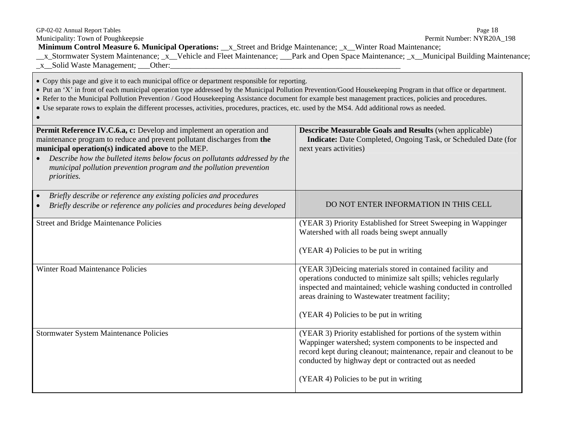| GP-02-02 Annual Report Tables<br>Municipality: Town of Poughkeepsie<br>Minimum Control Measure 6. Municipal Operations: __x_Street and Bridge Maintenance; _x__Winter Road Maintenance;<br>_x_Stormwater System Maintenance; _x__Vehicle and Fleet Maintenance; ___Park and Open Space Maintenance; _x__Municipal Building Maintenance;<br>_x__Solid Waste Management; ___Other:                                                                                                                                                                                             | Page 18<br>Permit Number: NYR20A_198                                                                                                                                                                                                                                                                    |
|------------------------------------------------------------------------------------------------------------------------------------------------------------------------------------------------------------------------------------------------------------------------------------------------------------------------------------------------------------------------------------------------------------------------------------------------------------------------------------------------------------------------------------------------------------------------------|---------------------------------------------------------------------------------------------------------------------------------------------------------------------------------------------------------------------------------------------------------------------------------------------------------|
| • Copy this page and give it to each municipal office or department responsible for reporting.<br>• Put an 'X' in front of each municipal operation type addressed by the Municipal Pollution Prevention/Good Housekeeping Program in that office or department.<br>• Refer to the Municipal Pollution Prevention / Good Housekeeping Assistance document for example best management practices, policies and procedures.<br>• Use separate rows to explain the different processes, activities, procedures, practices, etc. used by the MS4. Add additional rows as needed. |                                                                                                                                                                                                                                                                                                         |
| Permit Reference IV.C.6.a, c: Develop and implement an operation and<br>maintenance program to reduce and prevent pollutant discharges from the<br>municipal operation(s) indicated above to the MEP.<br>Describe how the bulleted items below focus on pollutants addressed by the<br>municipal pollution prevention program and the pollution prevention<br><i>priorities.</i>                                                                                                                                                                                             | Describe Measurable Goals and Results (when applicable)<br>Indicate: Date Completed, Ongoing Task, or Scheduled Date (for<br>next years activities)                                                                                                                                                     |
| Briefly describe or reference any existing policies and procedures<br>Briefly describe or reference any policies and procedures being developed                                                                                                                                                                                                                                                                                                                                                                                                                              | DO NOT ENTER INFORMATION IN THIS CELL                                                                                                                                                                                                                                                                   |
| <b>Street and Bridge Maintenance Policies</b>                                                                                                                                                                                                                                                                                                                                                                                                                                                                                                                                | (YEAR 3) Priority Established for Street Sweeping in Wappinger<br>Watershed with all roads being swept annually<br>(YEAR 4) Policies to be put in writing                                                                                                                                               |
| Winter Road Maintenance Policies                                                                                                                                                                                                                                                                                                                                                                                                                                                                                                                                             | (YEAR 3) Deicing materials stored in contained facility and<br>operations conducted to minimize salt spills; vehicles regularly<br>inspected and maintained; vehicle washing conducted in controlled<br>areas draining to Wastewater treatment facility;<br>(YEAR 4) Policies to be put in writing      |
| Stormwater System Maintenance Policies                                                                                                                                                                                                                                                                                                                                                                                                                                                                                                                                       | (YEAR 3) Priority established for portions of the system within<br>Wappinger watershed; system components to be inspected and<br>record kept during cleanout; maintenance, repair and cleanout to be<br>conducted by highway dept or contracted out as needed<br>(YEAR 4) Policies to be put in writing |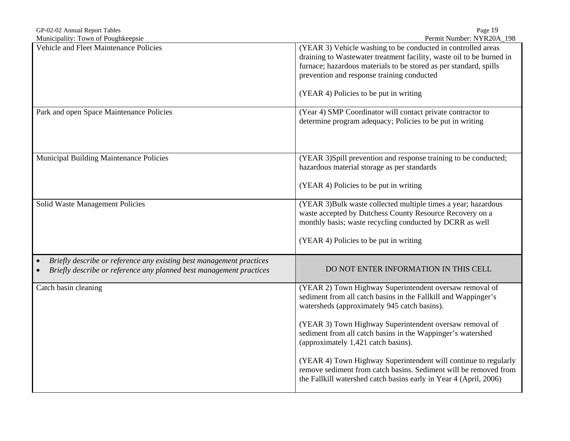| GP-02-02 Annual Report Tables | 19<br>Page |
|-------------------------------|------------|
|                               |            |

| Municipality: Town of Poughkeepsie                                                                                                          | Permit Number: NYR20A_198                                                                                                                                                                                                                                                                                                                                                                                                                                                                                                                              |
|---------------------------------------------------------------------------------------------------------------------------------------------|--------------------------------------------------------------------------------------------------------------------------------------------------------------------------------------------------------------------------------------------------------------------------------------------------------------------------------------------------------------------------------------------------------------------------------------------------------------------------------------------------------------------------------------------------------|
| Vehicle and Fleet Maintenance Policies                                                                                                      | (YEAR 3) Vehicle washing to be conducted in controlled areas<br>draining to Wastewater treatment facility, waste oil to be burned in<br>furnace; hazardous materials to be stored as per standard, spills<br>prevention and response training conducted<br>(YEAR 4) Policies to be put in writing                                                                                                                                                                                                                                                      |
| Park and open Space Maintenance Policies                                                                                                    | (Year 4) SMP Coordinator will contact private contractor to<br>determine program adequacy; Policies to be put in writing                                                                                                                                                                                                                                                                                                                                                                                                                               |
| <b>Municipal Building Maintenance Policies</b>                                                                                              | (YEAR 3)Spill prevention and response training to be conducted;<br>hazardous material storage as per standards<br>(YEAR 4) Policies to be put in writing                                                                                                                                                                                                                                                                                                                                                                                               |
| Solid Waste Management Policies                                                                                                             | (YEAR 3) Bulk waste collected multiple times a year; hazardous<br>waste accepted by Dutchess County Resource Recovery on a<br>monthly basis; waste recycling conducted by DCRR as well<br>(YEAR 4) Policies to be put in writing                                                                                                                                                                                                                                                                                                                       |
| Briefly describe or reference any existing best management practices<br>Briefly describe or reference any planned best management practices | DO NOT ENTER INFORMATION IN THIS CELL                                                                                                                                                                                                                                                                                                                                                                                                                                                                                                                  |
| Catch basin cleaning                                                                                                                        | (YEAR 2) Town Highway Superintendent oversaw removal of<br>sediment from all catch basins in the Fallkill and Wappinger's<br>watersheds (approximately 945 catch basins).<br>(YEAR 3) Town Highway Superintendent oversaw removal of<br>sediment from all catch basins in the Wappinger's watershed<br>(approximately 1,421 catch basins).<br>(YEAR 4) Town Highway Superintendent will continue to regularly<br>remove sediment from catch basins. Sediment will be removed from<br>the Fallkill watershed catch basins early in Year 4 (April, 2006) |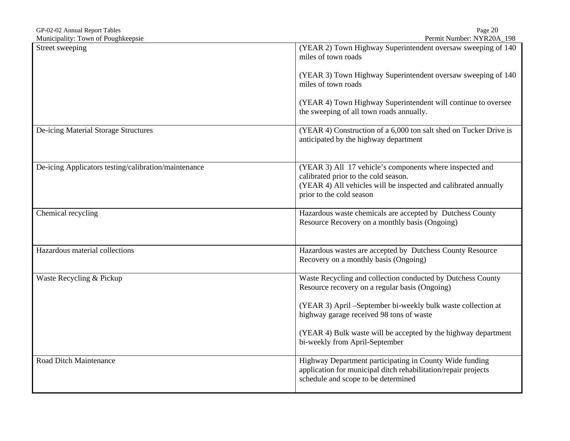| GP-02-02 Annual Report Tables                        | Page 20                                                                                                                                                                                         |
|------------------------------------------------------|-------------------------------------------------------------------------------------------------------------------------------------------------------------------------------------------------|
| Municipality: Town of Poughkeepsie                   | Permit Number: NYR20A_198                                                                                                                                                                       |
| Street sweeping                                      | (YEAR 2) Town Highway Superintendent oversaw sweeping of 140<br>miles of town roads                                                                                                             |
|                                                      | (YEAR 3) Town Highway Superintendent oversaw sweeping of 140<br>miles of town roads                                                                                                             |
|                                                      | (YEAR 4) Town Highway Superintendent will continue to oversee<br>the sweeping of all town roads annually.                                                                                       |
| De-icing Material Storage Structures                 | (YEAR 4) Construction of a 6,000 ton salt shed on Tucker Drive is<br>anticipated by the highway department                                                                                      |
| De-icing Applicators testing/calibration/maintenance | (YEAR 3) All 17 vehicle's components where inspected and<br>calibrated prior to the cold season.<br>(YEAR 4) All vehicles will be inspected and calibrated annually<br>prior to the cold season |
| Chemical recycling                                   | Hazardous waste chemicals are accepted by Dutchess County<br>Resource Recovery on a monthly basis (Ongoing)                                                                                     |
| Hazardous material collections                       | Hazardous wastes are accepted by Dutchess County Resource<br>Recovery on a monthly basis (Ongoing)                                                                                              |
| Waste Recycling & Pickup                             | Waste Recycling and collection conducted by Dutchess County<br>Resource recovery on a regular basis (Ongoing)                                                                                   |
|                                                      | (YEAR 3) April –September bi-weekly bulk waste collection at<br>highway garage received 98 tons of waste                                                                                        |
|                                                      | (YEAR 4) Bulk waste will be accepted by the highway department<br>bi-weekly from April-September                                                                                                |
| Road Ditch Maintenance                               | Highway Department participating in County Wide funding<br>application for municipal ditch rehabilitation/repair projects<br>schedule and scope to be determined                                |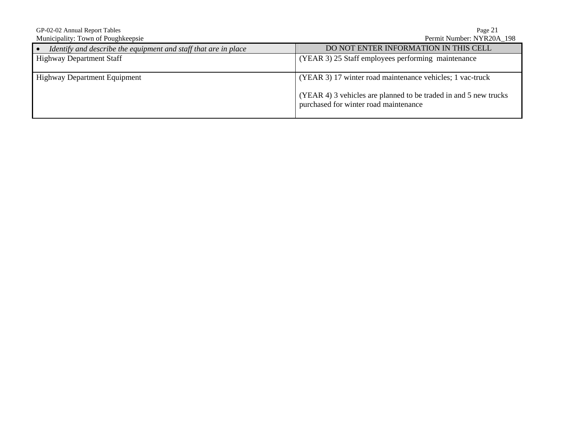GP-02-02 Annual Report Tables<br>
Municipality: Town of Poughkeepsie<br>
Permit Number: NYR20A\_198 Municipality: Town of Poughkeepsie • *Identify and describe the equipment and staff that are in place* DO NOT ENTER INFORMATION IN THIS CELL Highway Department Staff **DO NOT ENTER INFORMATION** IN THIS CELL  $(YEAR 3)$  25 Staff employees performing maintenance Highway Department Equipment (YEAR 3) 17 winter road maintenance vehicles; 1 vac-truck (YEAR 4) 3 vehicles are planned to be traded in and 5 new trucks purchased for winter road maintenance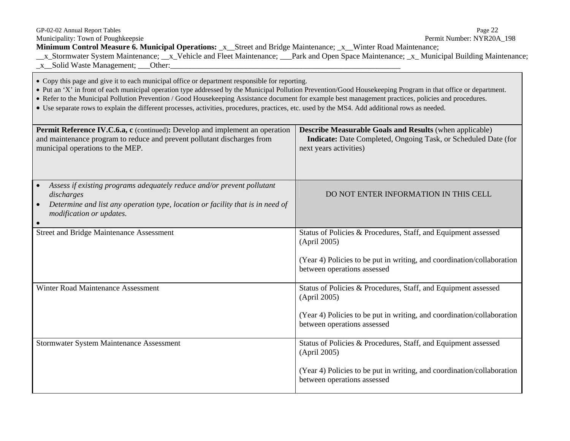| GP-02-02 Annual Report Tables<br>Municipality: Town of Poughkeepsie<br><b>Minimum Control Measure 6. Municipal Operations:</b> x_Street and Bridge Maintenance; x_Winter Road Maintenance;<br>_x_Stormwater System Maintenance; __x_Vehicle and Fleet Maintenance; __Park and Open Space Maintenance; _x_Municipal Building Maintenance;<br>x Solid Waste Management; Other:                                                                                                                                                                                                 | Page 22<br>Permit Number: NYR20A 198                                                                                                                              |  |
|------------------------------------------------------------------------------------------------------------------------------------------------------------------------------------------------------------------------------------------------------------------------------------------------------------------------------------------------------------------------------------------------------------------------------------------------------------------------------------------------------------------------------------------------------------------------------|-------------------------------------------------------------------------------------------------------------------------------------------------------------------|--|
| • Copy this page and give it to each municipal office or department responsible for reporting.<br>• Put an 'X' in front of each municipal operation type addressed by the Municipal Pollution Prevention/Good Housekeeping Program in that office or department.<br>• Refer to the Municipal Pollution Prevention / Good Housekeeping Assistance document for example best management practices, policies and procedures.<br>• Use separate rows to explain the different processes, activities, procedures, practices, etc. used by the MS4. Add additional rows as needed. |                                                                                                                                                                   |  |
| <b>Permit Reference IV.C.6.a, c</b> (continued): Develop and implement an operation<br>and maintenance program to reduce and prevent pollutant discharges from<br>municipal operations to the MEP.                                                                                                                                                                                                                                                                                                                                                                           | <b>Describe Measurable Goals and Results</b> (when applicable)<br><b>Indicate:</b> Date Completed, Ongoing Task, or Scheduled Date (for<br>next years activities) |  |

| Assess if existing programs adequately reduce and/or prevent pollutant<br>$\bullet$<br>discharges<br>Determine and list any operation type, location or facility that is in need of<br>$\bullet$<br><i>modification or updates.</i><br>$\bullet$ | DO NOT ENTER INFORMATION IN THIS CELL                                                                                                                                                                                  |
|--------------------------------------------------------------------------------------------------------------------------------------------------------------------------------------------------------------------------------------------------|------------------------------------------------------------------------------------------------------------------------------------------------------------------------------------------------------------------------|
| <b>Street and Bridge Maintenance Assessment</b>                                                                                                                                                                                                  | Status of Policies & Procedures, Staff, and Equipment assessed<br>(April 2005)<br>(Year 4) Policies to be put in writing, and coordination/collaboration                                                               |
| Winter Road Maintenance Assessment                                                                                                                                                                                                               | between operations assessed<br>Status of Policies & Procedures, Staff, and Equipment assessed<br>(April 2005)<br>(Year 4) Policies to be put in writing, and coordination/collaboration<br>between operations assessed |
| <b>Stormwater System Maintenance Assessment</b>                                                                                                                                                                                                  | Status of Policies & Procedures, Staff, and Equipment assessed<br>(April 2005)<br>(Year 4) Policies to be put in writing, and coordination/collaboration<br>between operations assessed                                |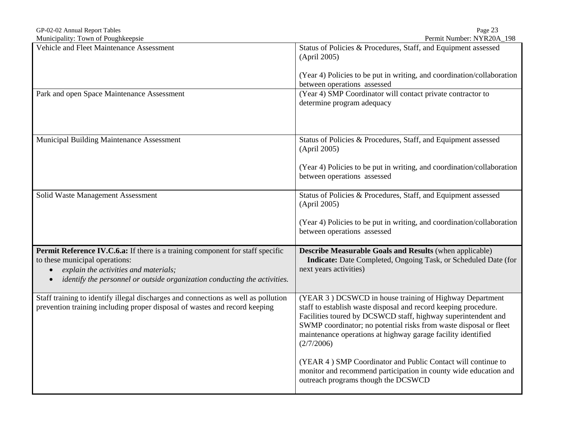| GP-02-02 Annual Report Tables                                                                                                                                                                                                                                    | Page 23                                                                                                                                                                                                                                                                                                                                        |
|------------------------------------------------------------------------------------------------------------------------------------------------------------------------------------------------------------------------------------------------------------------|------------------------------------------------------------------------------------------------------------------------------------------------------------------------------------------------------------------------------------------------------------------------------------------------------------------------------------------------|
| Municipality: Town of Poughkeepsie                                                                                                                                                                                                                               | Permit Number: NYR20A_198                                                                                                                                                                                                                                                                                                                      |
| Vehicle and Fleet Maintenance Assessment                                                                                                                                                                                                                         | Status of Policies & Procedures, Staff, and Equipment assessed<br>(April 2005)                                                                                                                                                                                                                                                                 |
|                                                                                                                                                                                                                                                                  | (Year 4) Policies to be put in writing, and coordination/collaboration<br>between operations assessed                                                                                                                                                                                                                                          |
| Park and open Space Maintenance Assessment                                                                                                                                                                                                                       | (Year 4) SMP Coordinator will contact private contractor to<br>determine program adequacy                                                                                                                                                                                                                                                      |
| Municipal Building Maintenance Assessment                                                                                                                                                                                                                        | Status of Policies & Procedures, Staff, and Equipment assessed<br>(April 2005)<br>(Year 4) Policies to be put in writing, and coordination/collaboration                                                                                                                                                                                       |
|                                                                                                                                                                                                                                                                  | between operations assessed                                                                                                                                                                                                                                                                                                                    |
| Solid Waste Management Assessment                                                                                                                                                                                                                                | Status of Policies & Procedures, Staff, and Equipment assessed<br>(April 2005)                                                                                                                                                                                                                                                                 |
|                                                                                                                                                                                                                                                                  | (Year 4) Policies to be put in writing, and coordination/collaboration<br>between operations assessed                                                                                                                                                                                                                                          |
| Permit Reference IV.C.6.a: If there is a training component for staff specific<br>to these municipal operations:<br>explain the activities and materials;<br>$\bullet$<br>identify the personnel or outside organization conducting the activities.<br>$\bullet$ | <b>Describe Measurable Goals and Results (when applicable)</b><br>Indicate: Date Completed, Ongoing Task, or Scheduled Date (for<br>next years activities)                                                                                                                                                                                     |
| Staff training to identify illegal discharges and connections as well as pollution<br>prevention training including proper disposal of wastes and record keeping                                                                                                 | (YEAR 3) DCSWCD in house training of Highway Department<br>staff to establish waste disposal and record keeping procedure.<br>Facilities toured by DCSWCD staff, highway superintendent and<br>SWMP coordinator; no potential risks from waste disposal or fleet<br>maintenance operations at highway garage facility identified<br>(2/7/2006) |
|                                                                                                                                                                                                                                                                  | (YEAR 4) SMP Coordinator and Public Contact will continue to<br>monitor and recommend participation in county wide education and<br>outreach programs though the DCSWCD                                                                                                                                                                        |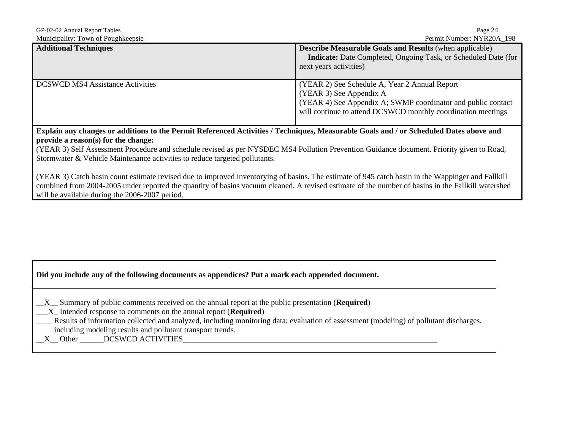| GP-02-02 Annual Report Tables           | Page 24                                                        |  |  |
|-----------------------------------------|----------------------------------------------------------------|--|--|
| Municipality: Town of Poughkeepsie      | Permit Number: NYR20A 198                                      |  |  |
| <b>Additional Techniques</b>            | <b>Describe Measurable Goals and Results (when applicable)</b> |  |  |
|                                         | Indicate: Date Completed, Ongoing Task, or Scheduled Date (for |  |  |
|                                         | next years activities)                                         |  |  |
|                                         |                                                                |  |  |
| <b>DCSWCD MS4 Assistance Activities</b> | (YEAR 2) See Schedule A, Year 2 Annual Report                  |  |  |
|                                         | (YEAR 3) See Appendix A                                        |  |  |
|                                         | (YEAR 4) See Appendix A; SWMP coordinator and public contact   |  |  |
|                                         | will continue to attend DCSWCD monthly coordination meetings   |  |  |
|                                         |                                                                |  |  |

**Explain any changes or additions to the Permit Referenced Activities / Techniques, Measurable Goals and / or Scheduled Dates above and provide a reason(s) for the change:** 

(YEAR 3) Self Assessment Procedure and schedule revised as per NYSDEC MS4 Pollution Prevention Guidance document. Priority given to Road, Stormwater & Vehicle Maintenance activities to reduce targeted pollutants.

(YEAR 3) Catch basin count estimate revised due to improved inventorying of basins. The estimate of 945 catch basin in the Wappinger and Fallkill combined from 2004-2005 under reported the quantity of basins vacuum cleaned. A revised estimate of the number of basins in the Fallkill watershed will be available during the 2006-2007 period.

|  | Did you include any of the following documents as appendices? Put a mark each appended document. |  |
|--|--------------------------------------------------------------------------------------------------|--|
|  |                                                                                                  |  |
|  |                                                                                                  |  |

|  |  | $X_{\text{max}}$ Summary of public comments received on the annual report at the public presentation ( <b>Required</b> ) |  |  |  |  |  |
|--|--|--------------------------------------------------------------------------------------------------------------------------|--|--|--|--|--|
|--|--|--------------------------------------------------------------------------------------------------------------------------|--|--|--|--|--|

\_\_\_X\_ Intended response to comments on the annual report (**Required**)

\_\_\_\_ Results of information collected and analyzed, including monitoring data; evaluation of assessment (modeling) of pollutant discharges, including modeling results and pollutant transport trends.

X Other DCSWCD ACTIVITIES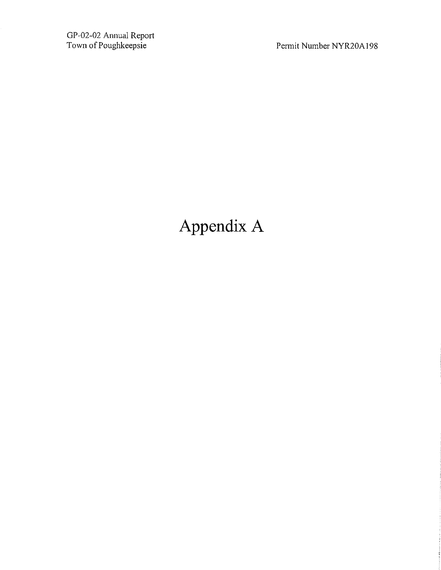GP-02-02 Annual Report<br>Town of Poughkeepsie

Permit Number NYR20A198

# Appendix A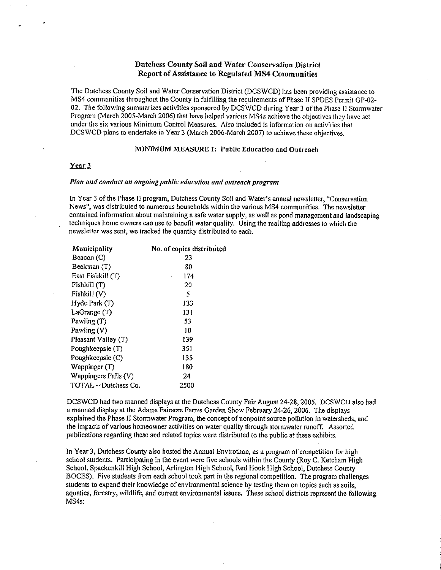### Dutchess County Soil and Water Conservation District Report of Assistance to Regulated MS4 Communities

The Dutchess County Soil and Water Conservation District (DCSWCD) has been providing assistance to MS4 communities throughout the County in fulfilling the requirements of Phase II SPDES Permit GP-02-02. The following summarizes activities sponsored by DCSWCD during Year 3 of the Phase II Stormwater Program (March  $2005$ -March 2006) that have helped various MS4s achieve the objectives they have set under the six various Minimum Control Measures. Also included is information on activities that DCSWCD plans to undertake in Year 3 (March 2006-March 2007) to achieve these objectives.

#### MINIMUM MEASURE 1: Public Education and Outreach

#### Year 3

#### Plan and conduct an ongoing public education and outreach program

In Year 3 of the Phase II program, Dutchess County Soil and Water's annual newsletter, "Conservation News", was distributed to numerous households within the various MS4 communities. The newsletter contained information about maintaining a safe water supply, as well as pond management and landscaping techniques home owners can use to benefit water quality. Using the mailing addresses to which the newsletter was sent, we tracked the quantity distributed to each.

| Municipality         | No. of copies distributed |
|----------------------|---------------------------|
| Beacon (C)           | 23                        |
| Beekman (T)          | 80                        |
| East Fishkill (T)    | 174<br>ï                  |
| Fishkill (T)         | 20                        |
| Fishkill(V)          | 5                         |
| Hyde Park(T)         | 133                       |
| LaGrange (T)         | 131                       |
| Pawling (T)          | 53                        |
| Pawling (V)          | 10                        |
| Pleasant Valley (T)  | 139                       |
| Poughkeepsie (T)     | 351                       |
| Poughkeepsie (C)     | 135                       |
| Wappinger (T)        | 180                       |
| Wappingers Falls (V) | 24                        |
| TOTAL - Dutchess Co. | 2500                      |

DCSWCD had two manned displays at the Dutchess County Fair August 24-28, 2005. DCSWCD also had a manned display at the Adams Fairacre Farms Garden Show February 24-26, 2006. The displays explained the Phase II Stormwater Program, the concept of nonpoint source pollution in watersheds, and the impacts of various homeowner activities on water quality through stormwater runoff. Assorted publications regarding these and related topics were distributed to the public at these exhibits.

In Year 3, Dutchess County also hosted the Annual Envirothon, as a program of competition for high school students. Participating in the event were five schools within the County (Roy C. Ketcham High School, Spackenkill High School, Arlington High School, Red Hook High School, Dutchess County BOCES). Five students from each school took part in the regional competition. The program challenges students to expand their knowledge of environmental science by testing them on topics such as soils, aquatics, forestry, wildlife, and current environmental issues. These school districts represent the following MS4s: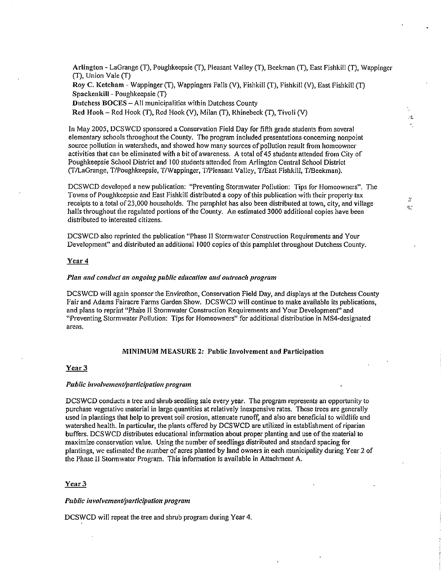Arlington - LaGrange (T), Poughkeepsie (T), Pleasant Valley (T), Beekman (T), East Fishkill (T), Wappinger (T), Union Vale (T) Roy C. Ketcham - Wappinger (T), Wappingers Falls (V), Fishkill (T), Fishkill (V), East Fishkill (T) Spackenkill - Poughkeepsie (T) Dutchess BOCES - All municipalities within Dutchess County Red Hook - Red Hook (T), Red Hook (V), Milan (T), Rhinebeck (T), Tiyoli (V)

In May 2005, DCSWCD sponsored a Conservation Field Day for fifth grade students from several elementary schools throughout the County. The program included presentations concerning nonpoint source pollution in watersheds, and showed how many sources of pollution result from homeowner activities that can be eliminated with a bit of awareness. A total of 45 students attended from City of Poughkeepsie School District and 100 students attended from Arlington Central School District (T/LaGrange, T/Poughkeepsie, T/Wappinger, T/Pleasant Valley, T/East Fishkill, T/Beekman).

DCSWCD developed a new publication: "Preventing Stormwater Pollution: Tips for Homeowners". The Towns of Poughkeepsie and East Fishkill distributed a copy of this publication with their property tax receipts to a total of 23,000 households. The pamphlet has also been distributed at town, city, and village halls throughout the regulated portions of the County. An estimated 3000 additional copies have been distributed to interested citizens.

DCSWCD also reprinted the publication "Phase II Stormwater Construction Requirements and Your Development" and distributed an additional 1000 copies of this pamphlet throughout Dutchess County.

#### Year 4

#### Plan and conduct an ongoing public education and outreach program

DCSWCD will again sponsor the Envirothon, Conservation Field Day, and displays at the Dutchess County Fair and Adams Fairacre Farms Garden Show. DCSWCD will continue to make available its publications, and plans to reprint "Phase II Stormwater Construction Requirements and Your Development" and "Preventing Stormwater Pollution: Tips for Homeowners" for additional distribution in MS4-designated areas.

#### MINIMUM MEASURE 2: Public Involvement and Participation

#### Year<sub>3</sub>

#### Public involvement/participation program

DCSWCD conducts a tree and shrub seedling sale every year. The program represents an opportunity to purchase vegetative material in large quantities at relatively inexpensive rates. These trees are generally used in plantings that help to prevent soil erosion, attenuate runoff, and also are beneficial to wildlife and watershed health. In particular, the plants offered by DCSWCD are utilized in establishment of riparian buffers. DCSWCD distributes educational information about proper planting and use of the material to maximize conservation value. Using the number of seedlings distributed and standard spacing for plantings, we estimated the number of acres planted by land owners in each municipality during Year 2 of the Phase II Stormwater Program. This information is available in Attachment A.

#### Year<sub>3</sub>

#### Public involvement/participation program

DCSWCD will repeat the tree and shrub program during Year 4.

 $\mathbb{R}^2$  $\sigma^2$ 

÷.

 $\sim$ ÷,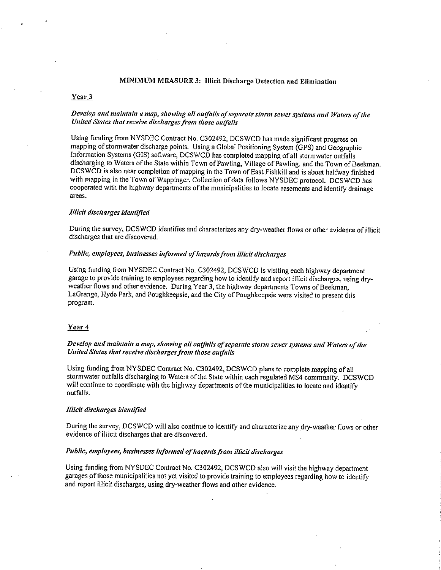#### MINIMUM MEASURE 3: Illicit Discharge Detection and Elimination

#### Year 3

#### Develop and maintain a map, showing all outfalls of separate storm sewer systems and Waters of the United States that receive discharges from those outfalls

Using funding from NYSDEC Contract No. C302492, DCSWCD has made significant progress on mapping of stormwater discharge points. Using a Global Positioning System (GPS) and Geographic Information Systems (GIS) software, DCSWCD has completed mapping of all stormwater outfalls discharging to Waters of the State within Town of Pawling, Village of Pawling, and the Town of Beekman. DCSWCD is also near completion of mapping in the Town of East Fishkill and is about halfway finished with mapping in the Town of Wappinger. Collection of data follows NYSDEC protocol. DCSWCD has cooperated with the highway departments of the municipalities to locate easements and identify drainage areas.

#### Illicit discharges identified

During the survey, DCSWCD identifies and characterizes any dry-weather flows or other evidence of illicit discharges that are discovered.

#### Public, employees, businesses informed of hazards from illicit discharges

Using funding from NYSDEC Contract No. C302492, DCSWCD is visiting each highway department garage to provide training to employees regarding how to identify and report illicit discharges, using dryweather flows and other evidence. During Year 3, the highway departments Towns of Beekman. LaGrange, Hyde Park, and Poughkeepsie, and the City of Poughkeepsie were visited to present this program.

#### Year 4

Develop and maintain a map, showing all outfalls of separate storm sewer systems and Waters of the United States that receive discharges from those outfalls

Using funding from NYSDEC Contract No. C302492, DCSWCD plans to complete mapping of all stormwater outfalls discharging to Waters of the State within each regulated MS4 community. DCSWCD will continue to coordinate with the highway departments of the municipalities to locate and identify outfalls.

#### Illicit discharges identified

During the survey, DCSWCD will also continue to identify and characterize any dry-weather flows or other evidence of illicit discharges that are discovered.

#### Public, employees, businesses informed of hazards from illicit discharges

Using funding from NYSDEC Contract No. C302492, DCSWCD also will visit the highway department garages of those municipalities not yet visited to provide training to employees regarding how to identify and report illicit discharges, using dry-weather flows and other evidence.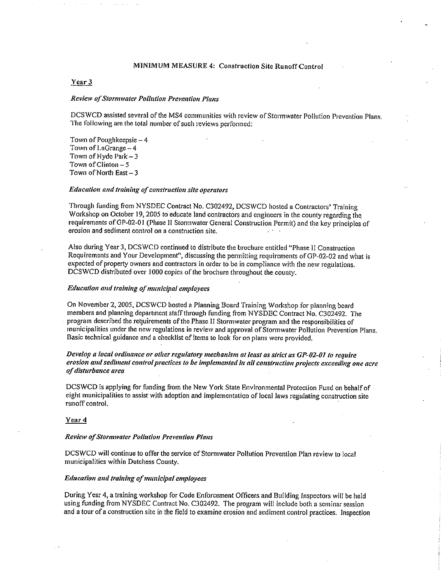#### MINIMUM MEASURE 4: Construction Site Runoff Control

#### Year 3

#### Review of Stormwater Pollution Prevention Plans

DCSWCD assisted several of the MS4 communities with review of Stormwater Pollution Prevention Plans. The following are the total number of such reviews performed:

Town of Poughkeepsie - 4 Town of LaGrange - 4 Town of Hyde Park  $-3$ Town of Clinton  $-5$ Town of North East-3

#### Education and training of construction site operators

Through funding from NYSDEC Contract No. C302492, DCSWCD hosted a Contractors' Training Workshop on October 19, 2005 to educate land contractors and engineers in the county regarding the requirements of GP-02-01 (Phase II Stormwater General Construction Permit) and the key principles of erosion and sediment control on a construction site.

Also during Year 3, DCSWCD continued to distribute the brochure entitled "Phase II Construction Requirements and Your Development", discussing the permitting requirements of GP-02-02 and what is expected of property owners and contractors in order to be in compliance with the new regulations. DCSWCD distributed over 1000 copies of the brochure throughout the county.

#### Education and training of municipal employees

On November 2, 2005, DCSWCD hosted a Planning Board Training Workshop for planning board members and planning department staff through funding from NYSDEC Contract No. C302492. The program described the requirements of the Phase II Stormwater program and the responsibilities of municipalities under the new regulations in review and approval of Stormwater Pollution Prevention Plans. Basic technical guidance and a checklist of items to look for on plans were provided.

## Develop a local ordinance or other regulatory mechanism at least as strict as GP-02-01 to require erosion and sediment control practices to be implemented in all construction projects exceeding one acre of disturbance area

DCSWCD is applying for funding from the New York State Environmental Protection Fund on behalf of eight municipalities to assist with adoption and implementation of local laws regulating construction site runoff control.

#### Year 4

#### **Review of Stormwater Pollution Prevention Plans**

DCSWCD will continue to offer the service of Stormwater Pollution Prevention Plan review to local municipalities within Dutchess County.

#### Education and training of municipal employees

During Year 4, a training workshop for Code Enforcement Officers and Building Inspectors will be held using funding from NYSDEC Contract No. C302492. The program will include both a seminar session and a tour of a construction site in the field to examine erosion and sediment control practices. Inspection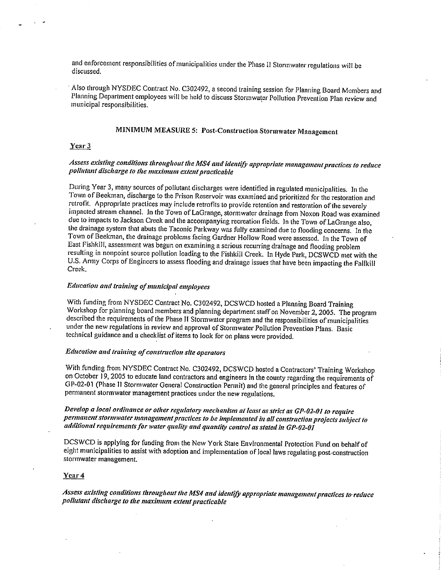and enforcement responsibilities of municipalities under the Phase II Stormwater regulations will be discussed.

Also through NYSDEC Contract No. C302492, a second training session for Planning Board Members and Planning Department employees will be held to discuss Stormwater Pollution Prevention Plan review and municipal responsibilities.

## MINIMUM MEASURE 5: Post-Construction Stormwater Management

#### Year 3

## Assess existing conditions throughout the MS4 and identify appropriate management practices to reduce pollutant discharge to the maximum extent practicable

During Year 3, many sources of pollutant discharges were identified in regulated municipalities. In the Town of Beekman, discharge to the Prison Reservoir was examined and prioritized for the restoration and retrofit. Appropriate practices may include retrofits to provide retention and restoration of the severely impacted stream channel. In the Town of LaGrange, stormwater drainage from Noxon Road was examined due to impacts to Jackson Creek and the accompanying recreation fields. In the Town of LaGrange also, the drainage system that abuts the Taconic Parkway was fully examined due to flooding concerns. In the Town of Beekman, the drainage problems facing Gardner Hollow Road were assessed. In the Town of East Fishkill, assessment was begun on examining a serious recurring drainage and flooding problem resulting in nonpoint source pollution loading to the Fishkill Creek. In Hyde Park, DCSWCD met with the U.S. Army Corps of Engineers to assess flooding and drainage issues that have been impacting the Fallkill Creek.

#### Education and training of municipal employees

With funding from NYSDEC Contract No. C302492, DCSWCD hosted a Planning Board Training Workshop for planning board members and planning department staff on November 2, 2005. The program described the requirements of the Phase II Stormwater program and the responsibilities of municipalities under the new regulations in review and approval of Stormwater Pollution Prevention Plans. Basic technical guidance and a checklist of items to look for on plans were provided.

## Education and training of construction site operators

With funding from NYSDEC Contract No. C302492, DCSWCD hosted a Contractors' Training Workshop on October 19, 2005 to educate land contractors and engineers in the county regarding the requirements of GP-02-01 (Phase II Stormwater General Construction Permit) and the general principles and features of permanent stormwater management practices under the new regulations.

Develop a local ordinance or other regulatory mechanism at least as strict as GP-02-01 to require permanent stormwater management practices to be implemented in all construction projects subject to additional requirements for water quality and quantity control as stated in GP-02-01

DCSWCD is applying for funding from the New York State Environmental Protection Fund on behalf of eight municipalities to assist with adoption and implementation of local laws regulating post-construction stormwater management.

### Year 4

Assess existing conditions throughout the MS4 and identify appropriate manugement practices to reduce pollutant discharge to the maximum extent practicable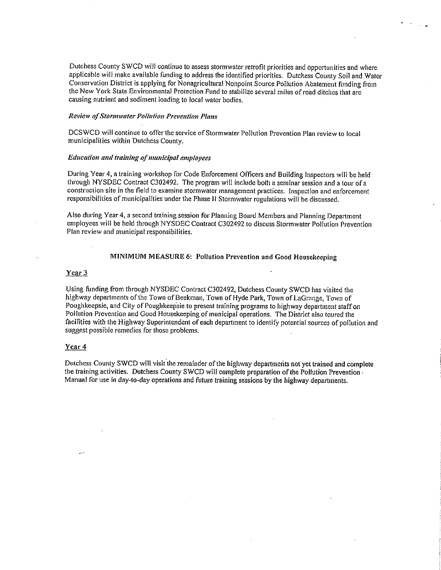Dutchess County SWCD will continue to assess stormwater retrofit priorities and opportunities and where applicable will make available funding to address the identified priorities. Dutchess County Soil and Water Conservation District is applying for Nonagricultural Nonpoint Source Pollution Abatement funding from the New York State Environmental Protection Fund to stabilize several miles of road ditches that are causing nutrient and sediment loading to local water bodies.

#### **Review of Stormwater Pollution Prevention Plans**

DCSWCD will continue to offer the service of Stormwater Pollution Prevention Plan review to local municipalities within Dutchess County.

#### Education and training of municipal employees

During Year 4, a training workshop for Code Enforcement Officers and Building Inspectors will be held through NYSDEC Contract C302492. The program will include both a seminar session and a tour of a construction site in the field to examine stormwater management practices. Inspection and enforcement responsibilities of municipalities under the Phase II Stormwater regulations will be discussed.

Also during Year 4, a second training session for Planning Board Members and Planning Department employees will be held through NYSDEC Contract C302492 to discuss Stormwater Pollution Prevention Plan review and municipal responsibilities.

#### MINIMUM MEASURE 6: Pollution Prevention and Good Housekeeping

#### Year 3

Using funding from through NYSDEC Contract C302492, Dutchess County SWCD has visited the highway departments of the Town of Beekman, Town of Hyde Park, Town of LaGrange. Town of Poughkeepsie, and City of Poughkeepsie to present training programs to highway department staff on Pollution Prevention and Good Housekeeping of municipal operations. The District also toured the facilities with the Highway Superintendent of each department to identify potential sources of pollution and suggest possible remedies for those problems.

#### Year 4

Dutchess County SWCD will visit the remainder of the highway departments not yet trained and complete the training activities. Dutchess County SWCD will complete preparation of the Pollution Prevention Manual for use in day-to-day operations and future training sessions by the highway departments.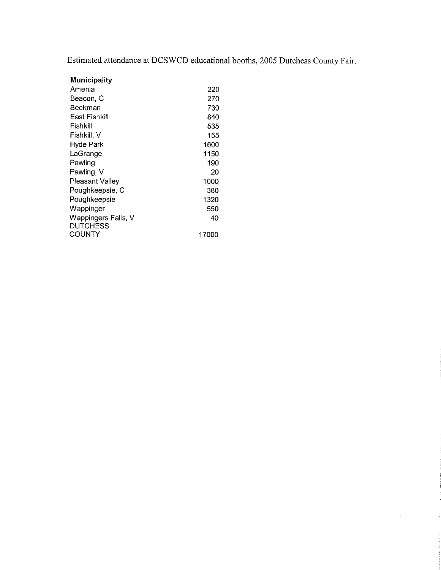Estimated attendance at DCSWCD educational booths, 2005 Dutchess County Fair.

 $\epsilon$ 

| Municipality                    |       |
|---------------------------------|-------|
| Amenia                          | 220   |
| Beacon, C                       | 270   |
| Beekman                         | 730   |
| East Fishkill                   | 840   |
| Fishkill                        | 535   |
| Fishkill, V                     | 155   |
| Hyde Park                       | 1600  |
| LaGrange                        | 1150  |
| Pawling                         | 190   |
| Pawling, V                      | 20    |
| Pleasant Valley                 | 1000  |
| Poughkeepsie, C                 | 380   |
| Poughkeepsie                    | 1320  |
| Wappinger                       | 550   |
| Wappingers Falls, V<br>DUTCHESS | 40    |
| COUNTY                          | 17000 |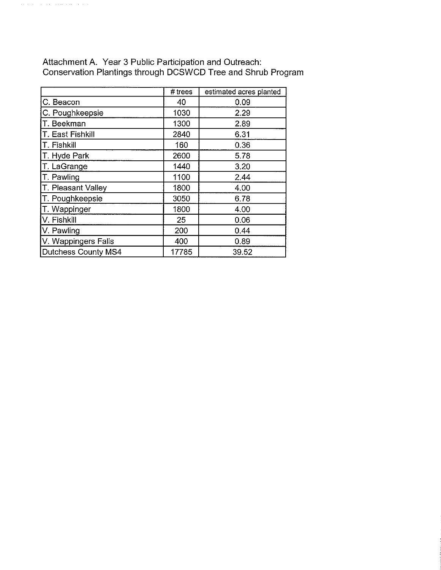|                     | # trees | estimated acres planted |
|---------------------|---------|-------------------------|
| C. Beacon           | 40      | 0.09                    |
| C. Poughkeepsie     | 1030    | 2.29                    |
| T. Beekman          | 1300    | 2.89                    |
| T. East Fishkill    | 2840    | 6.31                    |
| T. Fishkill         | 160     | 0.36                    |
| T. Hyde Park        | 2600    | 5.78                    |
| T. LaGrange         | 1440    | 3.20                    |
| T. Pawling          | 1100    | 2.44                    |
| T. Pleasant Valley  | 1800    | 4.00                    |
| T. Poughkeepsie     | 3050    | 6.78                    |
| T. Wappinger        | 1800    | 4.00                    |
| V. Fishkill         | 25      | 0.06                    |
| V. Pawling          | 200     | 0.44                    |
| V. Wappingers Falls | 400     | 0.89                    |
| Dutchess County MS4 | 17785   | 39.52                   |

Attachment A. Year 3 Public Participation and Outreach:<br>Conservation Plantings through DCSWCD Tree and Shrub Program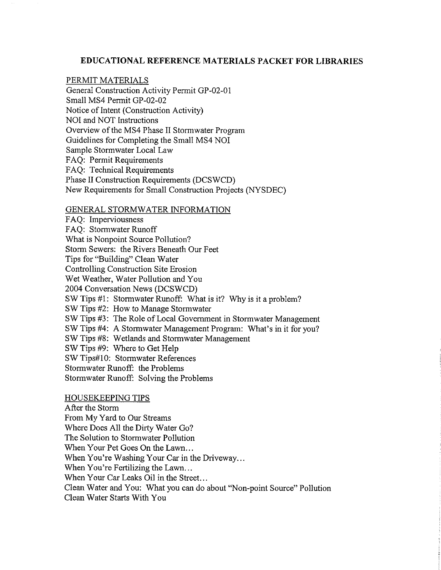## **EDUCATIONAL REFERENCE MATERIALS PACKET FOR LIBRARIES**

## PERMIT MATERIALS

General Construction Activity Permit GP-02-01 Small MS4 Permit GP-02-02 Notice of Intent (Construction Activity) NOI and NOT Instructions Overview of the MS4 Phase II Stormwater Program Guidelines for Completing the Small MS4 NOI Sample Stormwater Local Law FAQ: Permit Requirements FAQ: Technical Requirements Phase II Construction Requirements (DCSWCD) New Requirements for Small Construction Projects (NYSDEC)

## GENERAL STORMWATER INFORMATION

FAO: Imperviousness FAQ: Stormwater Runoff What is Nonpoint Source Pollution? Storm Sewers: the Rivers Beneath Our Feet Tips for "Building" Clean Water Controlling Construction Site Erosion Wet Weather, Water Pollution and You 2004 Conversation News (DCSWCD) SW Tips #1: Stormwater Runoff: What is it? Why is it a problem? SW Tips #2: How to Manage Stormwater SW Tips #3: The Role of Local Government in Stormwater Management SW Tips #4: A Stormwater Management Program: What's in it for you? SW Tips #8: Wetlands and Stormwater Management SW Tips #9: Where to Get Help SW Tips#10: Stormwater References Stormwater Runoff: the Problems Stormwater Runoff: Solving the Problems

## **HOUSEKEEPING TIPS**

After the Storm From My Yard to Our Streams Where Does All the Dirty Water Go? The Solution to Stormwater Pollution When Your Pet Goes On the Lawn... When You're Washing Your Car in the Driveway... When You're Fertilizing the Lawn... When Your Car Leaks Oil in the Street... Clean Water and You: What you can do about "Non-point Source" Pollution Clean Water Starts With You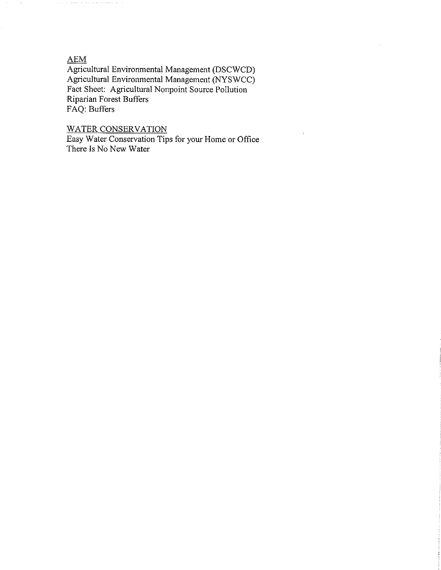## **AEM**

Agricultural Environmental Management (DSCWCD) Agricultural Environmental Management (NYSWCC) Fact Sheet: Agricultural Nonpoint Source Pollution Riparian Forest Buffers FAQ: Buffers

## **WATER CONSERVATION**

Easy Water Conservation Tips for your Home or Office There Is No New Water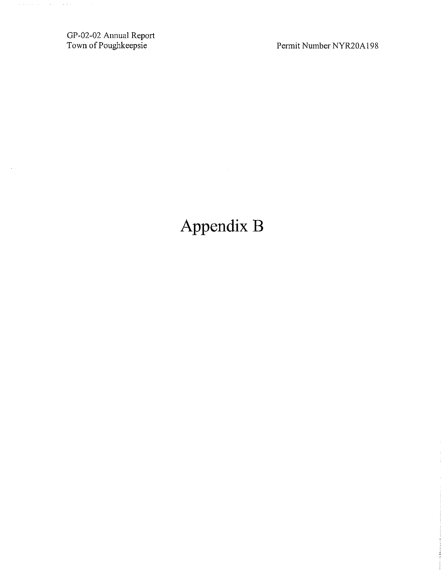GP-02-02 Annual Report<br>Town of Poughkeepsie

 $\sim$ 

Permit Number NYR20A198

# Appendix B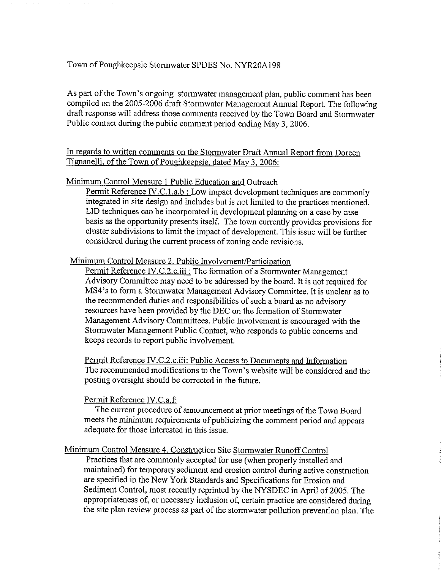## Town of Poughkeepsie Stormwater SPDES No. NYR20A198

As part of the Town's ongoing stormwater management plan, public comment has been compiled on the 2005-2006 draft Stormwater Management Annual Report. The following draft response will address those comments received by the Town Board and Stormwater Public contact during the public comment period ending May 3, 2006.

In regards to written comments on the Stormwater Draft Annual Report from Doreen Tignanelli, of the Town of Poughkeepsie, dated May 3, 2006:

## Minimum Control Measure 1 Public Education and Outreach

Permit Reference IV.C.1.a,b: Low impact development techniques are commonly integrated in site design and includes but is not limited to the practices mentioned. LID techniques can be incorporated in development planning on a case by case basis as the opportunity presents itself. The town currently provides provisions for cluster subdivisions to limit the impact of development. This issue will be further considered during the current process of zoning code revisions.

### Minimum Control Measure 2. Public Involvement/Participation

Permit Reference IV.C.2.c.iii : The formation of a Stormwater Management Advisory Committee may need to be addressed by the board. It is not required for MS4's to form a Stormwater Management Advisory Committee. It is unclear as to the recommended duties and responsibilities of such a board as no advisory resources have been provided by the DEC on the formation of Stormwater Management Advisory Committees. Public Involvement is encouraged with the Stormwater Management Public Contact, who responds to public concerns and keeps records to report public involvement.

Permit Reference IV.C.2.c.iii: Public Access to Documents and Information The recommended modifications to the Town's website will be considered and the posting oversight should be corrected in the future.

### Permit Reference IV.C.a.f.

The current procedure of announcement at prior meetings of the Town Board meets the minimum requirements of publicizing the comment period and appears adequate for those interested in this issue.

## Minimum Control Measure 4. Construction Site Stormwater Runoff Control

Practices that are commonly accepted for use (when properly installed and maintained) for temporary sediment and erosion control during active construction are specified in the New York Standards and Specifications for Erosion and Sediment Control, most recently reprinted by the NYSDEC in April of 2005. The appropriateness of, or necessary inclusion of, certain practice are considered during the site plan review process as part of the stormwater pollution prevention plan. The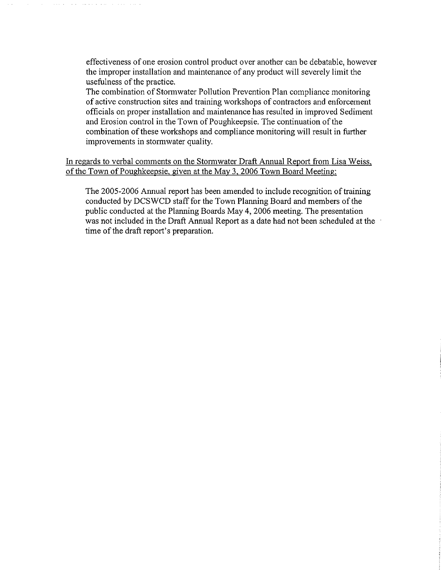effectiveness of one erosion control product over another can be debatable, however the improper installation and maintenance of any product will severely limit the usefulness of the practice.

The combination of Stormwater Pollution Prevention Plan compliance monitoring of active construction sites and training workshops of contractors and enforcement officials on proper installation and maintenance has resulted in improved Sediment and Erosion control in the Town of Poughkeepsie. The continuation of the combination of these workshops and compliance monitoring will result in further improvements in stormwater quality.

In regards to verbal comments on the Stormwater Draft Annual Report from Lisa Weiss, of the Town of Poughkeepsie, given at the May 3, 2006 Town Board Meeting:

The 2005-2006 Annual report has been amended to include recognition of training conducted by DCSWCD staff for the Town Planning Board and members of the public conducted at the Planning Boards May 4, 2006 meeting. The presentation was not included in the Draft Annual Report as a date had not been scheduled at the time of the draft report's preparation.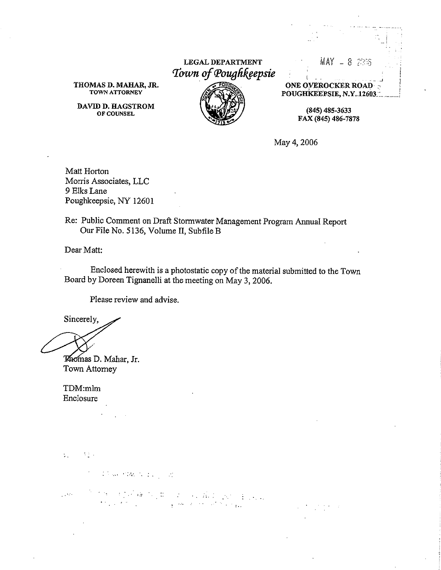LEGAL DEPARTMENT Town of Poughkeepsie



THOMAS D. MAHAR, JR. TOWN ATTORNEY

DAVID D. HAGSTROM OF COUNSEL

**ONE OVEROCKER ROAD** POUGHKEEPSIE, N.Y. 12603

 $MAY = 8.2966$ 

 $(845)$  485-3633 FAX (845) 486-7878

May 4, 2006

Matt Horton Morris Associates, LLC 9 Elks Lane Poughkeepsie, NY 12601

Re: Public Comment on Draft Stormwater Management Program Annual Report Our File No. 5136, Volume II, Subfile B

Dear Matt:

Enclosed herewith is a photostatic copy of the material submitted to the Town Board by Doreen Tignanelli at the meeting on May 3, 2006.

Please review and advise.

Sincerely,

Thomas D. Mahar, Jr. Town Attorney

TDM:mlm Enclosure

 $\sim 3\%$ s.

100 San PDA (Single Control)

in the complete to put a single problem point in power.<br>The transformation of the complete the single  $\sim 100$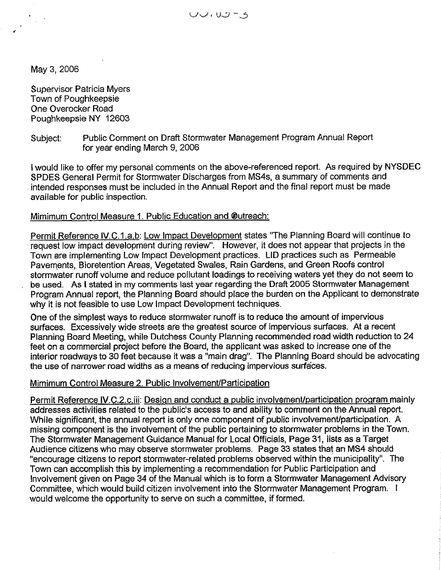May 3, 2006

**Supervisor Patricia Myers** Town of Poughkeepsie One Overocker Road Poughkeepsie NY 12603

#### Public Comment on Draft Stormwater Management Program Annual Report Subject: for year ending March 9, 2006

I would like to offer my personal comments on the above-referenced report. As required by NYSDEC SPDES General Permit for Stormwater Discharges from MS4s, a summary of comments and intended responses must be included in the Annual Report and the final report must be made available for public inspection.

## Mimimum Control Measure 1. Public Education and @utreach:

Permit Reference IV.C.1.a,b: Low Impact Development states "The Planning Board will continue to request low impact development during review". However, it does not appear that projects in the Town are implementing Low Impact Development practices. LID practices such as Permeable Pavements, Bioretention Areas, Vegetated Swales, Rain Gardens, and Green Roofs control stormwater runoff volume and reduce pollutant loadings to receiving waters yet they do not seem to be used. As I stated in my comments last year regarding the Draft 2005 Stormwater Management Program Annual report, the Planning Board should place the burden on the Applicant to demonstrate why it is not feasible to use Low Impact Development techniques.

One of the simplest ways to reduce stormwater runoff is to reduce the amount of impervious surfaces. Excessively wide streets are the greatest source of impervious surfaces. At a recent Planning Board Meeting, while Dutchess County Planning recommended road width reduction to 24 feet on a commercial project before the Board, the applicant was asked to increase one of the interior roadways to 30 feet because it was a "main drag". The Planning Board should be advocating the use of narrower road widths as a means of reducing impervious surfaces.

## Mimimum Control Measure 2. Public Involvement/Participation

Permit Reference IV.C.2.c.iii: Design and conduct a public involvement/participation program mainly addresses activities related to the public's access to and ability to comment on the Annual report. While significant, the annual report is only one component of public involvement/participation. A missing component is the involvement of the public pertaining to stormwater problems in the Town. The Stormwater Management Guidance Manual for Local Officials, Page 31, lists as a Target Audience citizens who may observe stormwater problems. Page 33 states that an MS4 should "encourage citizens to report stormwater-related problems observed within the municipality". The Town can accomplish this by implementing a recommendation for Public Participation and Involvement given on Page 34 of the Manual which is to form a Stormwater Management Advisory Committee, which would build citizen involvement into the Stormwater Management Program. I would welcome the opportunity to serve on such a committee, if formed.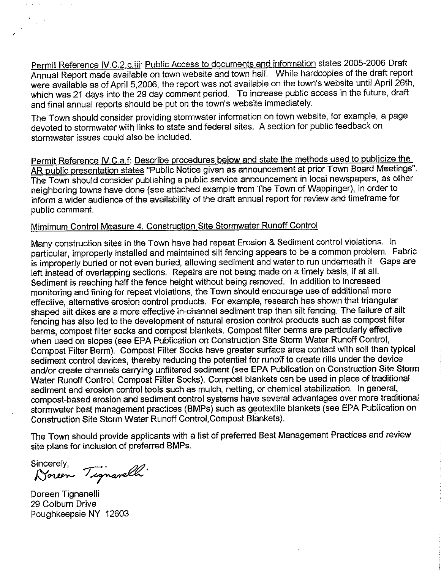Permit Reference IV.C.2.c.iii: Public Access to documents and information states 2005-2006 Draft Annual Report made available on town website and town hall. While hardcopies of the draft report were available as of April 5,2006, the report was not available on the town's website until April 26th, which was 21 days into the 29 day comment period. To increase public access in the future, draft and final annual reports should be put on the town's website immediately.

The Town should consider providing stormwater information on town website, for example, a page devoted to stormwater with links to state and federal sites. A section for public feedback on stormwater issues could also be included.

Permit Reference IV.C.a.f: Describe procedures below and state the methods used to publicize the AR public presentation states "Public Notice given as announcement at prior Town Board Meetings". The Town should consider publishing a public service announcement in local newspapers, as other neighboring towns have done (see attached example from The Town of Wappinger), in order to inform a wider audience of the availability of the draft annual report for review and timeframe for public comment.

## Mimimum Control Measure 4. Construction Site Stormwater Runoff Control

Many construction sites in the Town have had repeat Erosion & Sediment control violations. In particular, improperly installed and maintained silt fencing appears to be a common problem. Fabric is improperly buried or not even buried, allowing sediment and water to run underneath it. Gaps are left instead of overlapping sections. Repairs are not being made on a timely basis, if at all. Sediment is reaching half the fence height without being removed. In addition to increased monitoring and fining for repeat violations, the Town should encourage use of additional more effective, alternative erosion control products. For example, research has shown that triangular shaped silt dikes are a more effective in-channel sediment trap than silt fencing. The failure of silt fencing has also led to the development of natural erosion control products such as compost filter berms, compost filter socks and compost blankets. Compost filter berms are particularly effective when used on slopes (see EPA Publication on Construction Site Storm Water Runoff Control, Compost Filter Berm). Compost Filter Socks have greater surface area contact with soil than typical sediment control devices, thereby reducing the potential for runoff to create rills under the device and/or create channels carrying unfiltered sediment (see EPA Publication on Construction Site Storm Water Runoff Control, Compost Filter Socks). Compost blankets can be used in place of traditional sediment and erosion control tools such as mulch, netting, or chemical stabilization. In general, compost-based erosion and sediment control systems have several advantages over more traditional stormwater best management practices (BMPs) such as geotextile blankets (see EPA Publication on Construction Site Storm Water Runoff Control Compost Blankets).

The Town should provide applicants with a list of preferred Best Management Practices and review site plans for inclusion of preferred BMPs.

 $\frac{1}{2}$  ,  $\frac{1}{2}$ 

Sincerely,<br>Noreon Tignarelli

Doreen Tignanelli 29 Colburn Drive Poughkeepsie NY 12603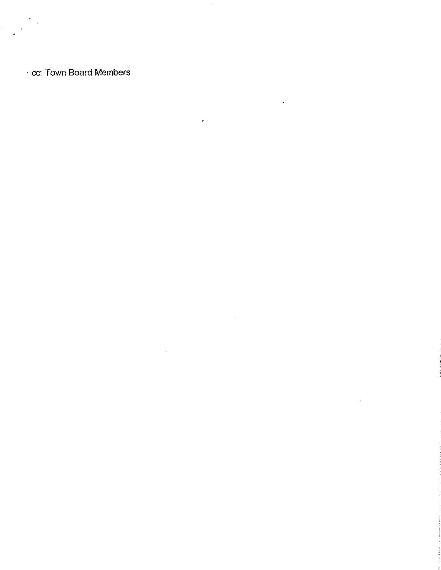cc: Town Board Members

 $\sim$ 

 $\lambda$ 

 $\hat{\mathbf{r}}$ 

 $\mathcal{L}$